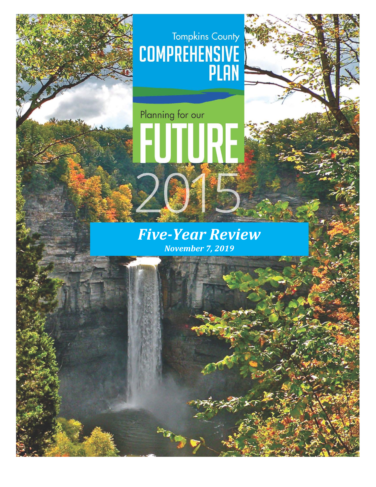# Tompkins County<br>COMPREHENSIVE<br>PLAN



**Service** 

# *Five-Year Review November 7, 2019*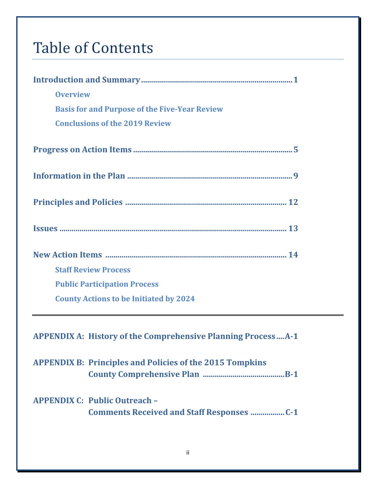# Table of Contents

| <b>Overview</b>                                                     |
|---------------------------------------------------------------------|
| <b>Basis for and Purpose of the Five-Year Review</b>                |
| <b>Conclusions of the 2019 Review</b>                               |
|                                                                     |
|                                                                     |
|                                                                     |
|                                                                     |
|                                                                     |
| <b>Staff Review Process</b>                                         |
| <b>Public Participation Process</b>                                 |
| <b>County Actions to be Initiated by 2024</b>                       |
|                                                                     |
| <b>APPENDIX A: History of the Comprehensive Planning ProcessA-1</b> |
| <b>APPENDIX B: Principles and Policies of the 2015 Tompkins</b>     |
| <b>APPENDIX C: Public Outreach -</b>                                |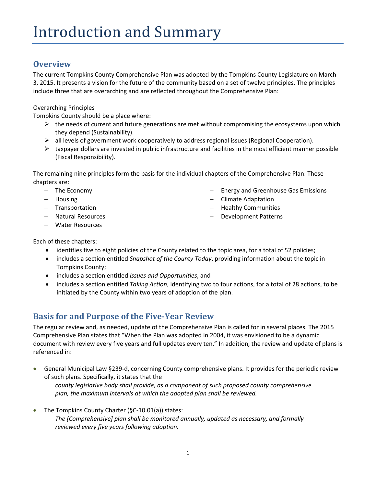# **Overview**

The current Tompkins County Comprehensive Plan was adopted by the Tompkins County Legislature on March 3, 2015. It presents a vision for the future of the community based on a set of twelve principles. The principles include three that are overarching and are reflected throughout the Comprehensive Plan:

# Overarching Principles

Tompkins County should be a place where:

- $\triangleright$  the needs of current and future generations are met without compromising the ecosystems upon which they depend (Sustainability).
- all levels of government work cooperatively to address regional issues (Regional Cooperation).
- $\triangleright$  taxpayer dollars are invested in public infrastructure and facilities in the most efficient manner possible (Fiscal Responsibility).

The remaining nine principles form the basis for the individual chapters of the Comprehensive Plan. These chapters are:

- − The Economy
- − Housing
- − Transportation
- − Natural Resources
- − Water Resources
- Energy and Greenhouse Gas Emissions
- − Climate Adaptation
- − Healthy Communities
- − Development Patterns

- Each of these chapters:
	- identifies five to eight policies of the County related to the topic area, for a total of 52 policies;
	- includes a section entitled *Snapshot of the County Today*, providing information about the topic in Tompkins County;
	- includes a section entitled *Issues and Opportunities*, and
	- includes a section entitled *Taking Action*, identifying two to four actions, for a total of 28 actions, to be initiated by the County within two years of adoption of the plan.

# **Basis for and Purpose of the Five-Year Review**

The regular review and, as needed, update of the Comprehensive Plan is called for in several places. The 2015 Comprehensive Plan states that "When the Plan was adopted in 2004, it was envisioned to be a dynamic document with review every five years and full updates every ten." In addition, the review and update of plans is referenced in:

- General Municipal Law §239-d, concerning County comprehensive plans. It provides for the periodic review of such plans. Specifically, it states that the *county legislative body shall provide, as a component of such proposed county comprehensive plan, the maximum intervals at which the adopted plan shall be reviewed.*
- The Tompkins County Charter (§C-10.01(a)) states: *The [Comprehensive] plan shall be monitored annually, updated as necessary, and formally reviewed every five years following adoption.*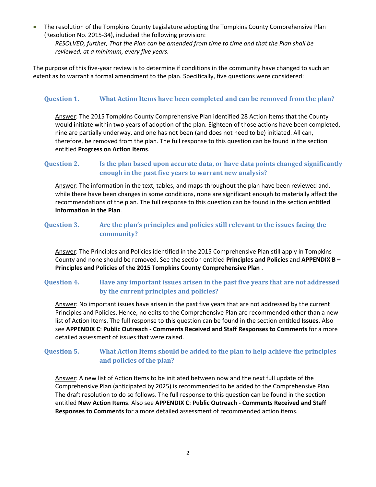• The resolution of the Tompkins County Legislature adopting the Tompkins County Comprehensive Plan (Resolution No. 2015-34), included the following provision:

*RESOLVED, further, That the Plan can be amended from time to time and that the Plan shall be reviewed, at a minimum, every five years.*

The purpose of this five-year review is to determine if conditions in the community have changed to such an extent as to warrant a formal amendment to the plan. Specifically, five questions were considered:

# **Question 1. What Action Items have been completed and can be removed from the plan?**

Answer: The 2015 Tompkins County Comprehensive Plan identified 28 Action Items that the County would initiate within two years of adoption of the plan. Eighteen of those actions have been completed, nine are partially underway, and one has not been (and does not need to be) initiated. All can, therefore, be removed from the plan. The full response to this question can be found in the section entitled **Progress on Action Items**.

# **Question 2. Is the plan based upon accurate data, or have data points changed significantly enough in the past five years to warrant new analysis?**

Answer: The information in the text, tables, and maps throughout the plan have been reviewed and, while there have been changes in some conditions, none are significant enough to materially affect the recommendations of the plan. The full response to this question can be found in the section entitled **Information in the Plan**.

# **Question 3. Are the plan's principles and policies still relevant to the issues facing the community?**

Answer: The Principles and Policies identified in the 2015 Comprehensive Plan still apply in Tompkins County and none should be removed. See the section entitled **Principles and Policies** and **APPENDIX B – Principles and Policies of the 2015 Tompkins County Comprehensive Plan** .

# **Question 4. Have any important issues arisen in the past five years that are not addressed by the current principles and policies?**

Answer: No important issues have arisen in the past five years that are not addressed by the current Principles and Policies. Hence, no edits to the Comprehensive Plan are recommended other than a new list of Action Items. The full response to this question can be found in the section entitled **Issues**. Also see **APPENDIX C**: **Public Outreach - Comments Received and Staff Responses to Comments** for a more detailed assessment of issues that were raised.

# **Question 5. What Action Items should be added to the plan to help achieve the principles and policies of the plan?**

Answer: A new list of Action Items to be initiated between now and the next full update of the Comprehensive Plan (anticipated by 2025) is recommended to be added to the Comprehensive Plan. The draft resolution to do so follows. The full response to this question can be found in the section entitled **New Action Items**. Also see **APPENDIX C**: **Public Outreach - Comments Received and Staff Responses to Comments** for a more detailed assessment of recommended action items.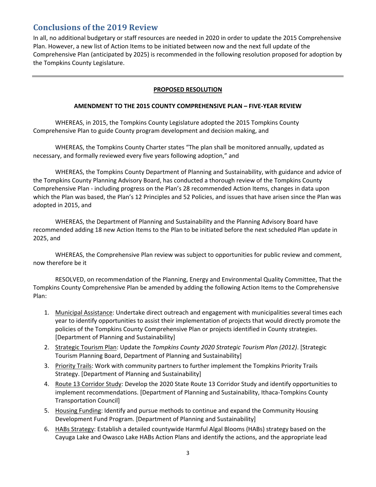# **Conclusions of the 2019 Review**

In all, no additional budgetary or staff resources are needed in 2020 in order to update the 2015 Comprehensive Plan. However, a new list of Action Items to be initiated between now and the next full update of the Comprehensive Plan (anticipated by 2025) is recommended in the following resolution proposed for adoption by the Tompkins County Legislature.

# **PROPOSED RESOLUTION**

#### **AMENDMENT TO THE 2015 COUNTY COMPREHENSIVE PLAN – FIVE-YEAR REVIEW**

WHEREAS, in 2015, the Tompkins County Legislature adopted the 2015 Tompkins County Comprehensive Plan to guide County program development and decision making, and

WHEREAS, the Tompkins County Charter states "The plan shall be monitored annually, updated as necessary, and formally reviewed every five years following adoption," and

WHEREAS, the Tompkins County Department of Planning and Sustainability, with guidance and advice of the Tompkins County Planning Advisory Board, has conducted a thorough review of the Tompkins County Comprehensive Plan - including progress on the Plan's 28 recommended Action Items, changes in data upon which the Plan was based, the Plan's 12 Principles and 52 Policies, and issues that have arisen since the Plan was adopted in 2015, and

WHEREAS, the Department of Planning and Sustainability and the Planning Advisory Board have recommended adding 18 new Action Items to the Plan to be initiated before the next scheduled Plan update in 2025, and

WHEREAS, the Comprehensive Plan review was subject to opportunities for public review and comment, now therefore be it

RESOLVED, on recommendation of the Planning, Energy and Environmental Quality Committee, That the Tompkins County Comprehensive Plan be amended by adding the following Action Items to the Comprehensive Plan:

- 1. Municipal Assistance: Undertake direct outreach and engagement with municipalities several times each year to identify opportunities to assist their implementation of projects that would directly promote the policies of the Tompkins County Comprehensive Plan or projects identified in County strategies. [Department of Planning and Sustainability]
- 2. Strategic Tourism Plan: Update the *Tompkins County 2020 Strategic Tourism Plan (2012)*. [Strategic Tourism Planning Board, Department of Planning and Sustainability]
- 3. Priority Trails: Work with community partners to further implement the Tompkins Priority Trails Strategy. [Department of Planning and Sustainability]
- 4. Route 13 Corridor Study: Develop the 2020 State Route 13 Corridor Study and identify opportunities to implement recommendations. [Department of Planning and Sustainability, Ithaca-Tompkins County Transportation Council]
- 5. Housing Funding: Identify and pursue methods to continue and expand the Community Housing Development Fund Program. [Department of Planning and Sustainability]
- 6. HABs Strategy: Establish a detailed countywide Harmful Algal Blooms (HABs) strategy based on the Cayuga Lake and Owasco Lake HABs Action Plans and identify the actions, and the appropriate lead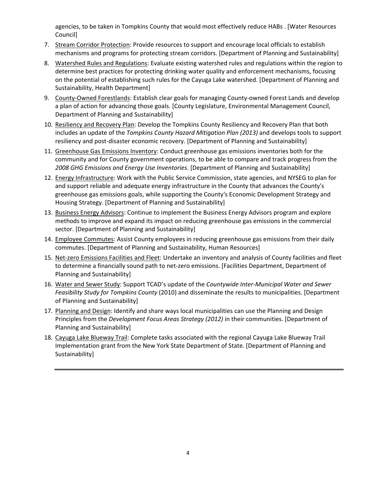agencies, to be taken in Tompkins County that would most effectively reduce HABs . [Water Resources Council]

- 7. Stream Corridor Protection: Provide resources to support and encourage local officials to establish mechanisms and programs for protecting stream corridors. [Department of Planning and Sustainability]
- 8. Watershed Rules and Regulations: Evaluate existing watershed rules and regulations within the region to determine best practices for protecting drinking water quality and enforcement mechanisms, focusing on the potential of establishing such rules for the Cayuga Lake watershed. [Department of Planning and Sustainability, Health Department]
- 9. County-Owned Forestlands: Establish clear goals for managing County-owned Forest Lands and develop a plan of action for advancing those goals. [County Legislature, Environmental Management Council, Department of Planning and Sustainability]
- 10. Resiliency and Recovery Plan: Develop the Tompkins County Resiliency and Recovery Plan that both includes an update of the *Tompkins County Hazard Mitigation Plan (2013)* and develops tools to support resiliency and post-disaster economic recovery. [Department of Planning and Sustainability]
- 11. Greenhouse Gas Emissions Inventory: Conduct greenhouse gas emissions inventories both for the community and for County government operations, to be able to compare and track progress from the *2008 GHG Emissions and Energy Use Inventories*. [Department of Planning and Sustainability]
- 12. Energy Infrastructure: Work with the Public Service Commission, state agencies, and NYSEG to plan for and support reliable and adequate energy infrastructure in the County that advances the County's greenhouse gas emissions goals, while supporting the County's Economic Development Strategy and Housing Strategy. [Department of Planning and Sustainability]
- 13. Business Energy Advisors: Continue to implement the Business Energy Advisors program and explore methods to improve and expand its impact on reducing greenhouse gas emissions in the commercial sector. [Department of Planning and Sustainability]
- 14. Employee Commutes: Assist County employees in reducing greenhouse gas emissions from their daily commutes. [Department of Planning and Sustainability, Human Resources]
- 15. Net-zero Emissions Facilities and Fleet: Undertake an inventory and analysis of County facilities and fleet to determine a financially sound path to net-zero emissions. [Facilities Department, Department of Planning and Sustainability]
- 16. Water and Sewer Study: Support TCAD's update of the *Countywide Inter-Municipal Water and Sewer Feasibility Study for Tompkins County* (2010) and disseminate the results to municipalities. [Department of Planning and Sustainability]
- 17. Planning and Design: Identify and share ways local municipalities can use the Planning and Design Principles from the *Development Focus Areas Strategy (2012)* in their communities. [Department of Planning and Sustainability]
- 18. Cayuga Lake Blueway Trail: Complete tasks associated with the regional Cayuga Lake Blueway Trail Implementation grant from the New York State Department of State. [Department of Planning and Sustainability]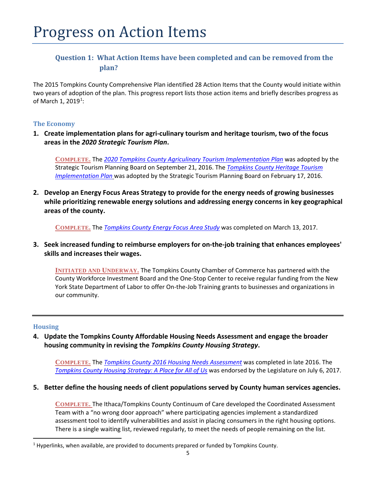# **Question 1: What Action Items have been completed and can be removed from the plan?**

The 2015 Tompkins County Comprehensive Plan identified 28 Action Items that the County would initiate within two years of adoption of the plan. This progress report lists those action items and briefly describes progress as of March [1](#page-6-0), 2019<sup>1</sup>:

# **The Economy**

**1. Create implementation plans for agri-culinary tourism and heritage tourism, two of the focus areas in the** *2020 Strategic Tourism Plan***.** 

**COMPLETE.** The *[2020 Tompkins County Agriculinary Tourism Implementation Plan](http://tompkinscountyny.gov/files2/tourism/Agriculinary%20Tourism%20Implementation%20Plan%20-%209.16.pdf)* was adopted by the Strategic Tourism Planning Board on September 21, 2016. The *[Tompkins County Heritage Tourism](http://tompkinscountyny.gov/files2/tourism/Heritage%20Tourism%20Implementation%20Plan_2-4_for%20STPB%20approval.pdf)  [Implementation Plan](http://tompkinscountyny.gov/files2/tourism/Heritage%20Tourism%20Implementation%20Plan_2-4_for%20STPB%20approval.pdf)* was adopted by the Strategic Tourism Planning Board on February 17, 2016.

**2. Develop an Energy Focus Areas Strategy to provide for the energy needs of growing businesses while prioritizing renewable energy solutions and addressing energy concerns in key geographical areas of the county.** 

**COMPLETE.** The *[Tompkins County Energy Focus Area Study](http://tompkinscountyny.gov/files2/planning/Energy-greenhouse/TC%20Energy%20Focus%20Area%20%20Phase%20II%20Report%20FINAL%205-1-17%20V1.pdf)* was completed on March 13, 2017.

**3. Seek increased funding to reimburse employers for on-the-job training that enhances employees' skills and increases their wages.**

**INITIATED AND UNDERWAY.** The Tompkins County Chamber of Commerce has partnered with the County Workforce Investment Board and the One-Stop Center to receive regular funding from the New York State Department of Labor to offer On-the-Job Training grants to businesses and organizations in our community.

# **Housing**

**4. Update the Tompkins County Affordable Housing Needs Assessment and engage the broader housing community in revising the** *Tompkins County Housing Strategy***.** 

**COMPLETE.** The *[Tompkins County 2016 Housing Needs Assessment](http://tompkinscountyny.gov/files2/planning/housing_choices/documents/HNA_2016/HNA%20Executive%20Summary.pdf)* was completed in late 2016. The *[Tompkins County Housing Strategy: A Place for All of Us](http://tompkinscountyny.gov/files2/planning/housing_choices/documents/HousingStrategy_Final_6-29-17.pdf)* was endorsed by the Legislature on July 6, 2017.

**5. Better define the housing needs of client populations served by County human services agencies.** 

**COMPLETE.** The Ithaca/Tompkins County Continuum of Care developed the Coordinated Assessment Team with a "no wrong door approach" where participating agencies implement a standardized assessment tool to identify vulnerabilities and assist in placing consumers in the right housing options. There is a single waiting list, reviewed regularly, to meet the needs of people remaining on the list.

<span id="page-6-0"></span><sup>&</sup>lt;sup>1</sup> Hyperlinks, when available, are provided to documents prepared or funded by Tompkins County.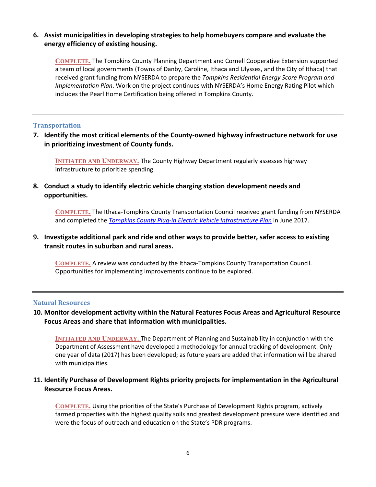# **6. Assist municipalities in developing strategies to help homebuyers compare and evaluate the energy efficiency of existing housing.**

**COMPLETE.** The Tompkins County Planning Department and Cornell Cooperative Extension supported a team of local governments (Towns of Danby, Caroline, Ithaca and Ulysses, and the City of Ithaca) that received grant funding from NYSERDA to prepare the *Tompkins Residential Energy Score Program and Implementation Plan*. Work on the project continues with NYSERDA's Home Energy Rating Pilot which includes the Pearl Home Certification being offered in Tompkins County.

# **Transportation**

**7. Identify the most critical elements of the County-owned highway infrastructure network for use in prioritizing investment of County funds.** 

**INITIATED AND UNDERWAY.** The County Highway Department regularly assesses highway infrastructure to prioritize spending.

**8. Conduct a study to identify electric vehicle charging station development needs and opportunities.**

**COMPLETE.** The Ithaca-Tompkins County Transportation Council received grant funding from NYSERDA and completed the *Tompkins [County Plug-in Electric Vehicle Infrastructure Plan](http://tompkinscountyny.gov/files2/itctc/projects/EV/Tompkins%20County%20EVSE%20Infrastructure%20Plan%20Executive%20Summary.pdf)* in June 2017.

# **9. Investigate additional park and ride and other ways to provide better, safer access to existing transit routes in suburban and rural areas.**

**COMPLETE.** A review was conducted by the Ithaca-Tompkins County Transportation Council. Opportunities for implementing improvements continue to be explored.

#### **Natural Resources**

# **10. Monitor development activity within the Natural Features Focus Areas and Agricultural Resource Focus Areas and share that information with municipalities.**

**INITIATED AND UNDERWAY.** The Department of Planning and Sustainability in conjunction with the Department of Assessment have developed a methodology for annual tracking of development. Only one year of data (2017) has been developed; as future years are added that information will be shared with municipalities.

# **11. Identify Purchase of Development Rights priority projects for implementation in the Agricultural Resource Focus Areas.**

**COMPLETE.** Using the priorities of the State's Purchase of Development Rights program, actively farmed properties with the highest quality soils and greatest development pressure were identified and were the focus of outreach and education on the State's PDR programs.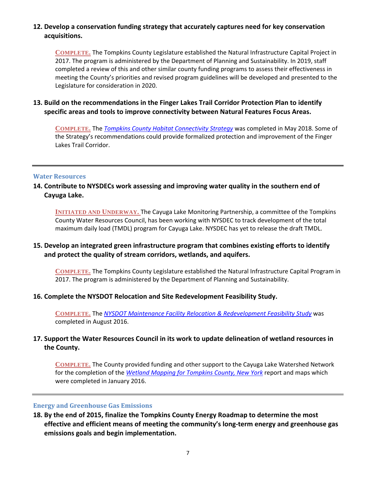# **12. Develop a conservation funding strategy that accurately captures need for key conservation acquisitions.**

**COMPLETE.** The Tompkins County Legislature established the Natural Infrastructure Capital Project in 2017. The program is administered by the Department of Planning and Sustainability. In 2019, staff completed a review of this and other similar county funding programs to assess their effectiveness in meeting the County's priorities and revised program guidelines will be developed and presented to the Legislature for consideration in 2020.

# **13. Build on the recommendations in the Finger Lakes Trail Corridor Protection Plan to identify specific areas and tools to improve connectivity between Natural Features Focus Areas.**

**COMPLETE.** The *[Tompkins County Habitat Connectivity Strategy](http://tompkinscountyny.gov/files2/planning/Natural_Agriculture/FINAL%20TC%20Connectivity%20Strategy.pdf)* was completed in May 2018. Some of the Strategy's recommendations could provide formalized protection and improvement of the Finger Lakes Trail Corridor.

#### **Water Resources**

# **14. Contribute to NYSDECs work assessing and improving water quality in the southern end of Cayuga Lake.**

**INITIATED AND UNDERWAY.** The Cayuga Lake Monitoring Partnership, a committee of the Tompkins County Water Resources Council, has been working with NYSDEC to track development of the total maximum daily load (TMDL) program for Cayuga Lake. NYSDEC has yet to release the draft TMDL.

# **15. Develop an integrated green infrastructure program that combines existing efforts to identify and protect the quality of stream corridors, wetlands, and aquifers.**

**COMPLETE.** The Tompkins County Legislature established the Natural Infrastructure Capital Program in 2017. The program is administered by the Department of Planning and Sustainability.

#### **16. Complete the NYSDOT Relocation and Site Redevelopment Feasibility Study.**

**COMPLETE.** The *[NYSDOT Maintenance Facility Relocation & Redevelopment Feasibility Study](http://tompkinscountyny.gov/files2/planning/community%20planning/NYSDOT_Redevelopment/NYSDOT%20Final%20Report%2009%2016%202016%20%281%29.pdf)* was completed in August 2016.

# **17. Support the Water Resources Council in its work to update delineation of wetland resources in the County.**

**COMPLETE.** The County provided funding and other support to the Cayuga Lake Watershed Network for the completion of the *[Wetland Mapping for Tompkins County, New York](https://www.cayugalake.org/wp-content/uploads/wetlands_mapping_-_tompkins_county_wetlands_mapping_project_2015_final_report.pdf)* report and maps which were completed in January 2016.

# **Energy and Greenhouse Gas Emissions**

**18. By the end of 2015, finalize the Tompkins County Energy Roadmap to determine the most effective and efficient means of meeting the community's long-term energy and greenhouse gas emissions goals and begin implementation.**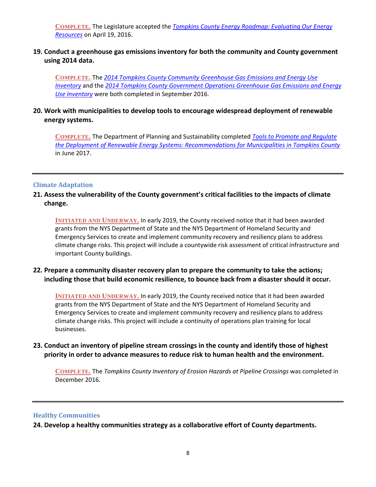**COMPLETE.** The Legislature accepted the *[Tompkins County Energy Roadmap: Evaluating Our Energy](http://tompkinscountyny.gov/files2/planning/Energy-greenhouse/Energy%20Roadmap%20All.pdf)  [Resources](http://tompkinscountyny.gov/files2/planning/Energy-greenhouse/Energy%20Roadmap%20All.pdf)* on April 19, 2016.

# **19. Conduct a greenhouse gas emissions inventory for both the community and County government using 2014 data.**

**COMPLETE.** The *[2014 Tompkins County Community Greenhouse Gas Emissions and Energy Use](http://tompkinscountyny.gov/files2/planning/Energy-greenhouse/Community%202014%20Final%20GHG%20Emissions%20Report.pdf)  [Inventory](http://tompkinscountyny.gov/files2/planning/Energy-greenhouse/Community%202014%20Final%20GHG%20Emissions%20Report.pdf)* and the *[2014 Tompkins County Government Operations Greenhouse Gas](http://tompkinscountyny.gov/files2/planning/Energy-greenhouse/GovernmentInventory_Report.pdf) Emissions and Energy [Use Inventory](http://tompkinscountyny.gov/files2/planning/Energy-greenhouse/GovernmentInventory_Report.pdf)* were both completed in September 2016.

# **20. Work with municipalities to develop tools to encourage widespread deployment of renewable energy systems.**

**COMPLETE.** The Department of Planning and Sustainability completed *[Tools to Promote and Regulate](http://tompkinscountyny.gov/files2/planning/Energy-greenhouse/Tools%20to%20Promote%20and%20Regulate%20the%20Deployment%20of%20Renewable%20Energy%20Systems_Final_June%202017.pdf)  [the Deployment of Renewable Energy Systems: Recommendations for Municipalities in Tompkins County](http://tompkinscountyny.gov/files2/planning/Energy-greenhouse/Tools%20to%20Promote%20and%20Regulate%20the%20Deployment%20of%20Renewable%20Energy%20Systems_Final_June%202017.pdf)* in June 2017.

# **Climate Adaptation**

# **21. Assess the vulnerability of the County government's critical facilities to the impacts of climate change.**

**INITIATED AND UNDERWAY.** In early 2019, the County received notice that it had been awarded grants from the NYS Department of State and the NYS Department of Homeland Security and Emergency Services to create and implement community recovery and resiliency plans to address climate change risks. This project will include a countywide risk assessment of critical infrastructure and important County buildings.

# **22. Prepare a community disaster recovery plan to prepare the community to take the actions; including those that build economic resilience, to bounce back from a disaster should it occur.**

**INITIATED AND UNDERWAY.** In early 2019, the County received notice that it had been awarded grants from the NYS Department of State and the NYS Department of Homeland Security and Emergency Services to create and implement community recovery and resiliency plans to address climate change risks. This project will include a continuity of operations plan training for local businesses.

# **23. Conduct an inventory of pipeline stream crossings in the county and identify those of highest priority in order to advance measures to reduce risk to human health and the environment.**

**COMPLETE.** The *Tompkins County Inventory of Erosion Hazards at Pipeline Crossings* was completed in December 2016.

#### **Healthy Communities**

**24. Develop a healthy communities strategy as a collaborative effort of County departments.**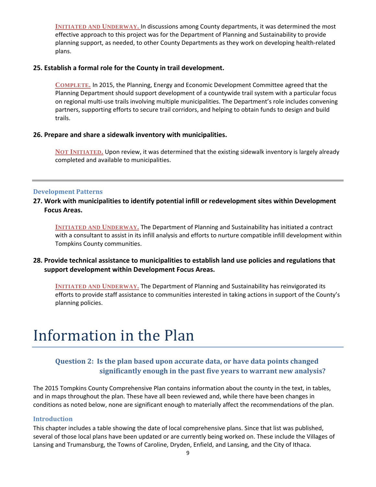**INITIATED AND UNDERWAY.** In discussions among County departments, it was determined the most effective approach to this project was for the Department of Planning and Sustainability to provide planning support, as needed, to other County Departments as they work on developing health-related plans.

# **25. Establish a formal role for the County in trail development.**

**COMPLETE.** In 2015, the Planning, Energy and Economic Development Committee agreed that the Planning Department should support development of a countywide trail system with a particular focus on regional multi-use trails involving multiple municipalities. The Department's role includes convening partners, supporting efforts to secure trail corridors, and helping to obtain funds to design and build trails.

# **26. Prepare and share a sidewalk inventory with municipalities.**

**NOT INITIATED.** Upon review, it was determined that the existing sidewalk inventory is largely already completed and available to municipalities.

#### **Development Patterns**

**27. Work with municipalities to identify potential infill or redevelopment sites within Development Focus Areas.** 

**INITIATED AND UNDERWAY.** The Department of Planning and Sustainability has initiated a contract with a consultant to assist in its infill analysis and efforts to nurture compatible infill development within Tompkins County communities.

# **28. Provide technical assistance to municipalities to establish land use policies and regulations that support development within Development Focus Areas.**

**INITIATED AND UNDERWAY.** The Department of Planning and Sustainability has reinvigorated its efforts to provide staff assistance to communities interested in taking actions in support of the County's planning policies.

# Information in the Plan

# **Question 2: Is the plan based upon accurate data, or have data points changed significantly enough in the past five years to warrant new analysis?**

The 2015 Tompkins County Comprehensive Plan contains information about the county in the text, in tables, and in maps throughout the plan. These have all been reviewed and, while there have been changes in conditions as noted below, none are significant enough to materially affect the recommendations of the plan.

#### **Introduction**

This chapter includes a table showing the date of local comprehensive plans. Since that list was published, several of those local plans have been updated or are currently being worked on. These include the Villages of Lansing and Trumansburg, the Towns of Caroline, Dryden, Enfield, and Lansing, and the City of Ithaca.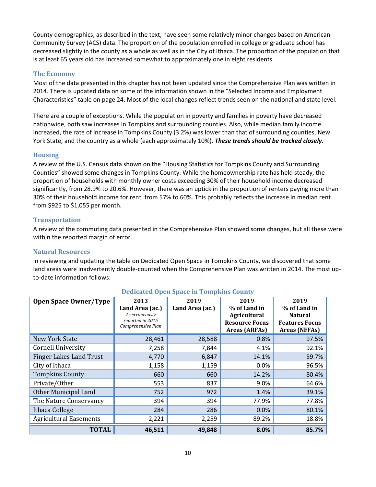County demographics, as described in the text, have seen some relatively minor changes based on American Community Survey (ACS) data. The proportion of the population enrolled in college or graduate school has decreased slightly in the county as a whole as well as in the City of Ithaca. The proportion of the population that is at least 65 years old has increased somewhat to approximately one in eight residents.

# **The Economy**

Most of the data presented in this chapter has not been updated since the Comprehensive Plan was written in 2014. There is updated data on some of the information shown in the "Selected Income and Employment Characteristics" table on page 24. Most of the local changes reflect trends seen on the national and state level.

There are a couple of exceptions. While the population in poverty and families in poverty have decreased nationwide, both saw increases in Tompkins and surrounding counties. Also, while median family income increased, the rate of increase in Tompkins County (3.2%) was lower than that of surrounding counties, New York State, and the country as a whole (each approximately 10%). *These trends should be tracked closely.*

# **Housing**

A review of the U.S. Census data shown on the "Housing Statistics for Tompkins County and Surrounding Counties" showed some changes in Tompkins County. While the homeownership rate has held steady, the proportion of households with monthly owner costs exceeding 30% of their household income decreased significantly, from 28.9% to 20.6%. However, there was an uptick in the proportion of renters paying more than 30% of their household income for rent, from 57% to 60%. This probably reflects the increase in median rent from \$925 to \$1,055 per month.

# **Transportation**

A review of the commuting data presented in the Comprehensive Plan showed some changes, but all these were within the reported margin of error.

#### **Natural Resources**

In reviewing and updating the table on Dedicated Open Space in Tompkins County, we discovered that some land areas were inadvertently double-counted when the Comprehensive Plan was written in 2014. The most upto-date information follows:

| <b>Open Space Owner/Type</b>   | 2013                                                                        | 2019            | 2019                                                                                 | 2019                                                                            |
|--------------------------------|-----------------------------------------------------------------------------|-----------------|--------------------------------------------------------------------------------------|---------------------------------------------------------------------------------|
|                                | Land Area (ac.)<br>As erroneously<br>reported in 2015<br>Comprehensive Plan | Land Area (ac.) | % of Land in<br><b>Agricultural</b><br><b>Resource Focus</b><br><b>Areas (ARFAs)</b> | % of Land in<br><b>Natural</b><br><b>Features Focus</b><br><b>Areas (NFFAs)</b> |
| <b>New York State</b>          | 28,461                                                                      | 28,588          | 0.8%                                                                                 | 97.5%                                                                           |
| <b>Cornell University</b>      | 7,258                                                                       | 7,844           | 4.1%                                                                                 | 92.1%                                                                           |
| <b>Finger Lakes Land Trust</b> | 4,770                                                                       | 6,847           | 14.1%                                                                                | 59.7%                                                                           |
| City of Ithaca                 | 1,158                                                                       | 1,159           | 0.0%                                                                                 | 96.5%                                                                           |
| <b>Tompkins County</b>         | 660                                                                         | 660             | 14.2%                                                                                | 80.4%                                                                           |
| Private/Other                  | 553                                                                         | 837             | 9.0%                                                                                 | 64.6%                                                                           |
| Other Municipal Land           | 752                                                                         | 972             | 1.4%                                                                                 | 39.1%                                                                           |
| The Nature Conservancy         | 394                                                                         | 394             | 77.9%                                                                                | 77.8%                                                                           |
| Ithaca College                 | 284                                                                         | 286             | 0.0%                                                                                 | 80.1%                                                                           |
| <b>Agricultural Easements</b>  | 2,221                                                                       | 2,259           | 89.2%                                                                                | 18.8%                                                                           |
| <b>TOTAL</b>                   | 46,511                                                                      | 49,848          | 8.0%                                                                                 | 85.7%                                                                           |

# **Dedicated Open Space in Tompkins County**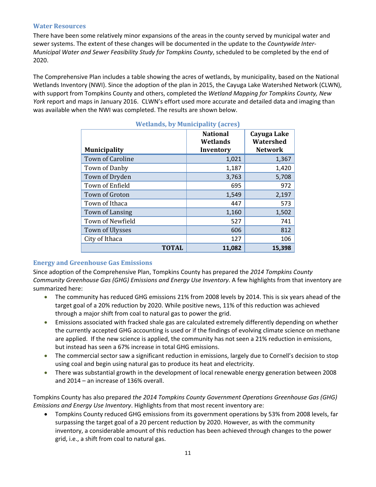# **Water Resources**

There have been some relatively minor expansions of the areas in the county served by municipal water and sewer systems. The extent of these changes will be documented in the update to the *Countywide Inter-Municipal Water and Sewer Feasibility Study for Tompkins County*, scheduled to be completed by the end of 2020.

The Comprehensive Plan includes a table showing the acres of wetlands, by municipality, based on the National Wetlands Inventory (NWI). Since the adoption of the plan in 2015, the Cayuga Lake Watershed Network (CLWN), with support from Tompkins County and others, completed the *Wetland Mapping for Tompkins County, New York* report and maps in January 2016. CLWN's effort used more accurate and detailed data and imaging than was available when the NWI was completed. The results are shown below.

| <b>Municipality</b>     | <b>National</b><br>Wetlands<br>Inventory | Cayuga Lake<br>Watershed<br><b>Network</b> |
|-------------------------|------------------------------------------|--------------------------------------------|
| <b>Town of Caroline</b> | 1,021                                    | 1,367                                      |
| Town of Danby           | 1,187                                    | 1,420                                      |
| Town of Dryden          | 3,763                                    | 5,708                                      |
| Town of Enfield         | 695                                      | 972                                        |
| Town of Groton          | 1,549                                    | 2,197                                      |
| Town of Ithaca          | 447                                      | 573                                        |
| <b>Town of Lansing</b>  | 1,160                                    | 1,502                                      |
| Town of Newfield        | 527                                      | 741                                        |
| Town of Ulysses         | 606                                      | 812                                        |
| City of Ithaca          | 127                                      | 106                                        |
| <b>TOTAL</b>            | 11,082                                   | 15,398                                     |

# **Wetlands, by Municipality (acres)**

# **Energy and Greenhouse Gas Emissions**

Since adoption of the Comprehensive Plan, Tompkins County has prepared the *2014 Tompkins County Community Greenhouse Gas (GHG) Emissions and Energy Use Inventory*. A few highlights from that inventory are summarized here:

- The community has reduced GHG emissions 21% from 2008 levels by 2014. This is six years ahead of the target goal of a 20% reduction by 2020. While positive news, 11% of this reduction was achieved through a major shift from coal to natural gas to power the grid.
- Emissions associated with fracked shale gas are calculated extremely differently depending on whether the currently accepted GHG accounting is used or if the findings of evolving climate science on methane are applied. If the new science is applied, the community has not seen a 21% reduction in emissions, but instead has seen a 67% increase in total GHG emissions.
- The commercial sector saw a significant reduction in emissions, largely due to Cornell's decision to stop using coal and begin using natural gas to produce its heat and electricity.
- There was substantial growth in the development of local renewable energy generation between 2008 and 2014 – an increase of 136% overall.

Tompkins County has also prepared *the 2014 Tompkins County Government Operations Greenhouse Gas (GHG) Emissions and Energy Use Inventory*. Highlights from that most recent inventory are:

• Tompkins County reduced GHG emissions from its government operations by 53% from 2008 levels, far surpassing the target goal of a 20 percent reduction by 2020. However, as with the community inventory, a considerable amount of this reduction has been achieved through changes to the power grid, i.e., a shift from coal to natural gas.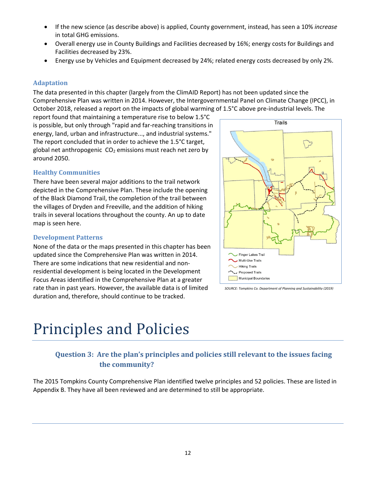- If the new science (as describe above) is applied, County government, instead, has seen a 10% *increase* in total GHG emissions.
- Overall energy use in County Buildings and Facilities decreased by 16%; energy costs for Buildings and Facilities decreased by 23%.
- Energy use by Vehicles and Equipment decreased by 24%; related energy costs decreased by only 2%.

# **Adaptation**

The data presented in this chapter (largely from the ClimAID Report) has not been updated since the Comprehensive Plan was written in 2014. However, the Intergovernmental Panel on Climate Change (IPCC), in October 2018, released a report on the impacts of global warming of 1.5°C above pre-industrial levels. The

report found that maintaining a temperature rise to below 1.5°C is possible, but only through "rapid and far-reaching transitions in energy, land, urban and infrastructure..., and industrial systems." The report concluded that in order to achieve the 1.5°C target, global net anthropogenic  $CO<sub>2</sub>$  emissions must reach net zero by around 2050.

# **Healthy Communities**

There have been several major additions to the trail network depicted in the Comprehensive Plan. These include the opening of the Black Diamond Trail, the completion of the trail between the villages of Dryden and Freeville, and the addition of hiking trails in several locations throughout the county. An up to date map is seen here.

# **Development Patterns**

None of the data or the maps presented in this chapter has been updated since the Comprehensive Plan was written in 2014. There are some indications that new residential and nonresidential development is being located in the Development Focus Areas identified in the Comprehensive Plan at a greater rate than in past years. However, the available data is of limited duration and, therefore, should continue to be tracked.



# **Question 3: Are the plan's principles and policies still relevant to the issues facing the community?**

The 2015 Tompkins County Comprehensive Plan identified twelve principles and 52 policies. These are listed in Appendix B. They have all been reviewed and are determined to still be appropriate.



*SOURCE: Tompkins Co. Department of Planning and Sustainability (2019)*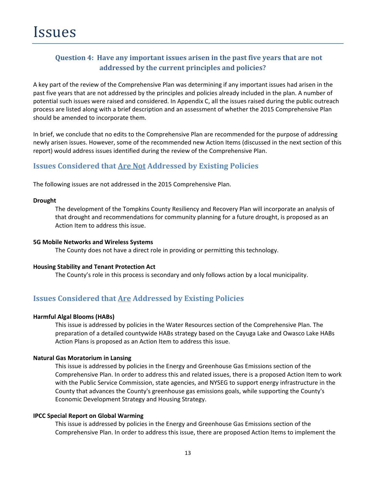# **Question 4: Have any important issues arisen in the past five years that are not addressed by the current principles and policies?**

A key part of the review of the Comprehensive Plan was determining if any important issues had arisen in the past five years that are not addressed by the principles and policies already included in the plan. A number of potential such issues were raised and considered. In Appendix C, all the issues raised during the public outreach process are listed along with a brief description and an assessment of whether the 2015 Comprehensive Plan should be amended to incorporate them.

In brief, we conclude that no edits to the Comprehensive Plan are recommended for the purpose of addressing newly arisen issues. However, some of the recommended new Action Items (discussed in the next section of this report) would address issues identified during the review of the Comprehensive Plan.

# **Issues Considered that Are Not Addressed by Existing Policies**

The following issues are not addressed in the 2015 Comprehensive Plan.

#### **Drought**

The development of the Tompkins County Resiliency and Recovery Plan will incorporate an analysis of that drought and recommendations for community planning for a future drought, is proposed as an Action Item to address this issue.

#### **5G Mobile Networks and Wireless Systems**

The County does not have a direct role in providing or permitting this technology.

#### **Housing Stability and Tenant Protection Act**

The County's role in this process is secondary and only follows action by a local municipality.

# **Issues Considered that Are Addressed by Existing Policies**

#### **Harmful Algal Blooms (HABs)**

This issue is addressed by policies in the Water Resources section of the Comprehensive Plan. The preparation of a detailed countywide HABs strategy based on the Cayuga Lake and Owasco Lake HABs Action Plans is proposed as an Action Item to address this issue.

#### **Natural Gas Moratorium in Lansing**

This issue is addressed by policies in the Energy and Greenhouse Gas Emissions section of the Comprehensive Plan. In order to address this and related issues, there is a proposed Action Item to work with the Public Service Commission, state agencies, and NYSEG to support energy infrastructure in the County that advances the County's greenhouse gas emissions goals, while supporting the County's Economic Development Strategy and Housing Strategy.

#### **IPCC Special Report on Global Warming**

This issue is addressed by policies in the Energy and Greenhouse Gas Emissions section of the Comprehensive Plan. In order to address this issue, there are proposed Action Items to implement the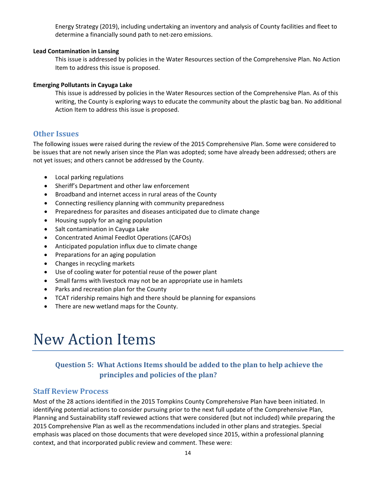Energy Strategy (2019), including undertaking an inventory and analysis of County facilities and fleet to determine a financially sound path to net-zero emissions.

#### **Lead Contamination in Lansing**

This issue is addressed by policies in the Water Resources section of the Comprehensive Plan. No Action Item to address this issue is proposed.

# **Emerging Pollutants in Cayuga Lake**

This issue is addressed by policies in the Water Resources section of the Comprehensive Plan. As of this writing, the County is exploring ways to educate the community about the plastic bag ban. No additional Action Item to address this issue is proposed.

# **Other Issues**

The following issues were raised during the review of the 2015 Comprehensive Plan. Some were considered to be issues that are not newly arisen since the Plan was adopted; some have already been addressed; others are not yet issues; and others cannot be addressed by the County.

- Local parking regulations
- Sheriff's Department and other law enforcement
- Broadband and internet access in rural areas of the County
- Connecting resiliency planning with community preparedness
- Preparedness for parasites and diseases anticipated due to climate change
- Housing supply for an aging population
- Salt contamination in Cayuga Lake
- Concentrated Animal Feedlot Operations (CAFOs)
- Anticipated population influx due to climate change
- Preparations for an aging population
- Changes in recycling markets
- Use of cooling water for potential reuse of the power plant
- Small farms with livestock may not be an appropriate use in hamlets
- Parks and recreation plan for the County
- TCAT ridership remains high and there should be planning for expansions
- There are new wetland maps for the County.

# New Action Items

# **Question 5: What Actions Items should be added to the plan to help achieve the principles and policies of the plan?**

# **Staff Review Process**

Most of the 28 actions identified in the 2015 Tompkins County Comprehensive Plan have been initiated. In identifying potential actions to consider pursuing prior to the next full update of the Comprehensive Plan, Planning and Sustainability staff reviewed actions that were considered (but not included) while preparing the 2015 Comprehensive Plan as well as the recommendations included in other plans and strategies. Special emphasis was placed on those documents that were developed since 2015, within a professional planning context, and that incorporated public review and comment. These were: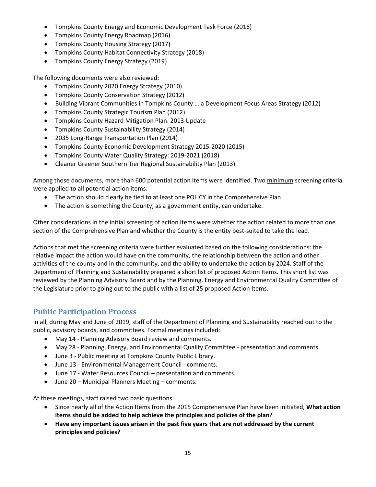- Tompkins County Energy and Economic Development Task Force (2016)
- Tompkins County Energy Roadmap (2016)
- Tompkins County Housing Strategy (2017)
- Tompkins County Habitat Connectivity Strategy (2018)
- Tompkins County Energy Strategy (2019)

The following documents were also reviewed:

- Tompkins County 2020 Energy Strategy (2010)
- Tompkins County Conservation Strategy (2012)
- Building Vibrant Communities in Tompkins County … a Development Focus Areas Strategy (2012)
- Tompkins County Strategic Tourism Plan (2012)
- Tompkins County Hazard Mitigation Plan: 2013 Update
- Tompkins County Sustainability Strategy (2014)
- 2035 Long-Range Transportation Plan (2014)
- Tompkins County Economic Development Strategy 2015-2020 (2015)
- Tompkins County Water Quality Strategy: 2019-2021 (2018)
- Cleaner Greener Southern Tier Regional Sustainability Plan (2013)

Among those documents, more than 600 potential action items were identified. Two minimum screening criteria were applied to all potential action items:

- The action should clearly be tied to at least one POLICY in the Comprehensive Plan
- The action is something the County, as a government entity, can undertake.

Other considerations in the initial screening of action items were whether the action related to more than one section of the Comprehensive Plan and whether the County is the entity best-suited to take the lead.

Actions that met the screening criteria were further evaluated based on the following considerations: the relative impact the action would have on the community, the relationship between the action and other activities of the county and in the community, and the ability to undertake the action by 2024. Staff of the Department of Planning and Sustainability prepared a short list of proposed Action Items. This short list was reviewed by the Planning Advisory Board and by the Planning, Energy and Environmental Quality Committee of the Legislature prior to going out to the public with a list of 25 proposed Action Items.

# **Public Participation Process**

In all, during May and June of 2019, staff of the Department of Planning and Sustainability reached out to the public, advisory boards, and committees. Formal meetings included:

- May 14 Planning Advisory Board review and comments.
- May 28 Planning, Energy, and Environmental Quality Committee presentation and comments.
- June 3 Public meeting at Tompkins County Public Library.
- June 13 Environmental Management Council comments.
- June 17 Water Resources Council presentation and comments.
- June 20 Municipal Planners Meeting comments.

At these meetings, staff raised two basic questions:

- Since nearly all of the Action Items from the 2015 Comprehensive Plan have been initiated, **What action items should be added to help achieve the principles and policies of the plan?**
- **Have any important issues arisen in the past five years that are not addressed by the current principles and policies?**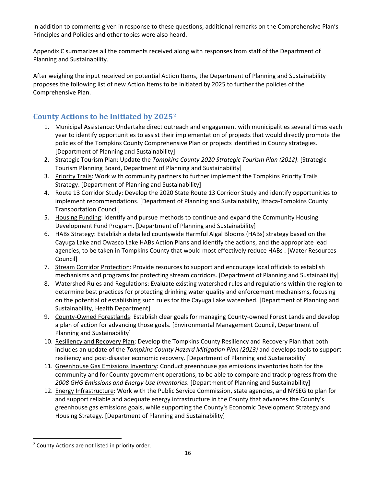In addition to comments given in response to these questions, additional remarks on the Comprehensive Plan's Principles and Policies and other topics were also heard.

Appendix C summarizes all the comments received along with responses from staff of the Department of Planning and Sustainability.

After weighing the input received on potential Action Items, the Department of Planning and Sustainability proposes the following list of new Action Items to be initiated by 2025 to further the policies of the Comprehensive Plan.

# **County Actions to be Initiated by 2025[2](#page-17-0)**

- 1. Municipal Assistance: Undertake direct outreach and engagement with municipalities several times each year to identify opportunities to assist their implementation of projects that would directly promote the policies of the Tompkins County Comprehensive Plan or projects identified in County strategies. [Department of Planning and Sustainability]
- 2. Strategic Tourism Plan: Update the *Tompkins County 2020 Strategic Tourism Plan (2012)*. [Strategic Tourism Planning Board, Department of Planning and Sustainability]
- 3. Priority Trails: Work with community partners to further implement the Tompkins Priority Trails Strategy. [Department of Planning and Sustainability]
- 4. Route 13 Corridor Study: Develop the 2020 State Route 13 Corridor Study and identify opportunities to implement recommendations. [Department of Planning and Sustainability, Ithaca-Tompkins County Transportation Council]
- 5. Housing Funding: Identify and pursue methods to continue and expand the Community Housing Development Fund Program. [Department of Planning and Sustainability]
- 6. HABs Strategy: Establish a detailed countywide Harmful Algal Blooms (HABs) strategy based on the Cayuga Lake and Owasco Lake HABs Action Plans and identify the actions, and the appropriate lead agencies, to be taken in Tompkins County that would most effectively reduce HABs . [Water Resources Council]
- 7. Stream Corridor Protection: Provide resources to support and encourage local officials to establish mechanisms and programs for protecting stream corridors. [Department of Planning and Sustainability]
- 8. Watershed Rules and Regulations: Evaluate existing watershed rules and regulations within the region to determine best practices for protecting drinking water quality and enforcement mechanisms, focusing on the potential of establishing such rules for the Cayuga Lake watershed. [Department of Planning and Sustainability, Health Department]
- 9. County-Owned Forestlands: Establish clear goals for managing County-owned Forest Lands and develop a plan of action for advancing those goals. [Environmental Management Council, Department of Planning and Sustainability]
- 10. Resiliency and Recovery Plan: Develop the Tompkins County Resiliency and Recovery Plan that both includes an update of the *Tompkins County Hazard Mitigation Plan (2013)* and develops tools to support resiliency and post-disaster economic recovery. [Department of Planning and Sustainability]
- 11. Greenhouse Gas Emissions Inventory: Conduct greenhouse gas emissions inventories both for the community and for County government operations, to be able to compare and track progress from the *2008 GHG Emissions and Energy Use Inventories*. [Department of Planning and Sustainability]
- 12. Energy Infrastructure: Work with the Public Service Commission, state agencies, and NYSEG to plan for and support reliable and adequate energy infrastructure in the County that advances the County's greenhouse gas emissions goals, while supporting the County's Economic Development Strategy and Housing Strategy. [Department of Planning and Sustainability]

<span id="page-17-0"></span><sup>&</sup>lt;sup>2</sup> County Actions are not listed in priority order.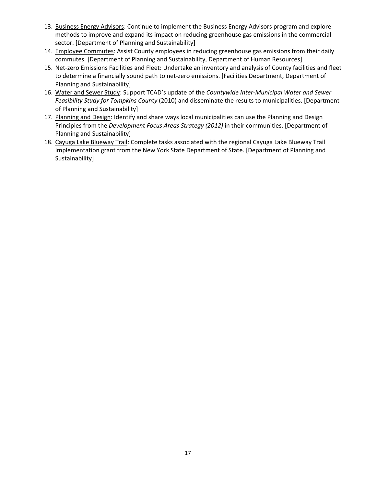- 13. Business Energy Advisors: Continue to implement the Business Energy Advisors program and explore methods to improve and expand its impact on reducing greenhouse gas emissions in the commercial sector. [Department of Planning and Sustainability]
- 14. Employee Commutes: Assist County employees in reducing greenhouse gas emissions from their daily commutes. [Department of Planning and Sustainability, Department of Human Resources]
- 15. Net-zero Emissions Facilities and Fleet: Undertake an inventory and analysis of County facilities and fleet to determine a financially sound path to net-zero emissions. [Facilities Department, Department of Planning and Sustainability]
- 16. Water and Sewer Study: Support TCAD's update of the *Countywide Inter-Municipal Water and Sewer Feasibility Study for Tompkins County* (2010) and disseminate the results to municipalities. [Department of Planning and Sustainability]
- 17. Planning and Design: Identify and share ways local municipalities can use the Planning and Design Principles from the *Development Focus Areas Strategy (2012)* in their communities. [Department of Planning and Sustainability]
- 18. Cayuga Lake Blueway Trail: Complete tasks associated with the regional Cayuga Lake Blueway Trail Implementation grant from the New York State Department of State. [Department of Planning and Sustainability]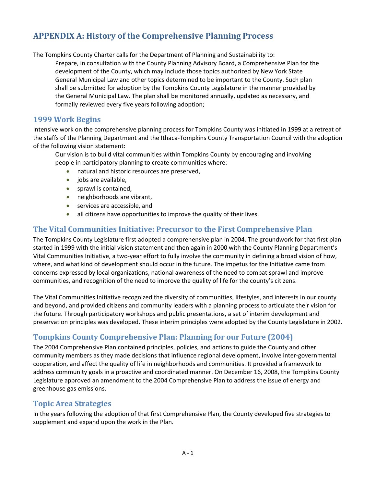# **APPENDIX A: History of the Comprehensive Planning Process**

The Tompkins County Charter calls for the Department of Planning and Sustainability to:

Prepare, in consultation with the County Planning Advisory Board, a Comprehensive Plan for the development of the County, which may include those topics authorized by New York State General Municipal Law and other topics determined to be important to the County. Such plan shall be submitted for adoption by the Tompkins County Legislature in the manner provided by the General Municipal Law. The plan shall be monitored annually, updated as necessary, and formally reviewed every five years following adoption;

# **1999 Work Begins**

Intensive work on the comprehensive planning process for Tompkins County was initiated in 1999 at a retreat of the staffs of the Planning Department and the Ithaca-Tompkins County Transportation Council with the adoption of the following vision statement:

Our vision is to build vital communities within Tompkins County by encouraging and involving people in participatory planning to create communities where:

- natural and historic resources are preserved,
- jobs are available,
- sprawl is contained,
- neighborhoods are vibrant,
- services are accessible, and
- all citizens have opportunities to improve the quality of their lives.

# **The Vital Communities Initiative: Precursor to the First Comprehensive Plan**

The Tompkins County Legislature first adopted a comprehensive plan in 2004. The groundwork for that first plan started in 1999 with the initial vision statement and then again in 2000 with the County Planning Department's Vital Communities Initiative, a two-year effort to fully involve the community in defining a broad vision of how, where, and what kind of development should occur in the future. The impetus for the Initiative came from concerns expressed by local organizations, national awareness of the need to combat sprawl and improve communities, and recognition of the need to improve the quality of life for the county's citizens.

The Vital Communities Initiative recognized the diversity of communities, lifestyles, and interests in our county and beyond, and provided citizens and community leaders with a planning process to articulate their vision for the future. Through participatory workshops and public presentations, a set of interim development and preservation principles was developed. These interim principles were adopted by the County Legislature in 2002.

# **Tompkins County Comprehensive Plan: Planning for our Future (2004)**

The 2004 Comprehensive Plan contained principles, policies, and actions to guide the County and other community members as they made decisions that influence regional development, involve inter-governmental cooperation, and affect the quality of life in neighborhoods and communities. It provided a framework to address community goals in a proactive and coordinated manner. On December 16, 2008, the Tompkins County Legislature approved an amendment to the 2004 Comprehensive Plan to address the issue of energy and greenhouse gas emissions.

# **Topic Area Strategies**

In the years following the adoption of that first Comprehensive Plan, the County developed five strategies to supplement and expand upon the work in the Plan.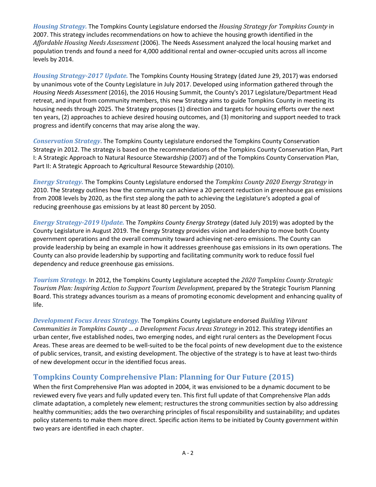*Housing Strategy.* The Tompkins County Legislature endorsed the *Housing Strategy for Tompkins County* in 2007. This strategy includes recommendations on how to achieve the housing growth identified in the *Affordable Housing Needs Assessment* (2006). The Needs Assessment analyzed the local housing market and population trends and found a need for 4,000 additional rental and owner-occupied units across all income levels by 2014.

*Housing Strategy-2017 Update.* The Tompkins County Housing Strategy (dated June 29, 2017) was endorsed by unanimous vote of the County Legislature in July 2017. Developed using information gathered through the *Housing Needs Assessment* (2016), the 2016 Housing Summit, the County's 2017 Legislature/Department Head retreat, and input from community members, this new Strategy aims to guide Tompkins County in meeting its housing needs through 2025. The Strategy proposes (1) direction and targets for housing efforts over the next ten years, (2) approaches to achieve desired housing outcomes, and (3) monitoring and support needed to track progress and identify concerns that may arise along the way.

*Conservation Strategy***.** The Tompkins County Legislature endorsed the Tompkins County Conservation Strategy in 2012. The strategy is based on the recommendations of the Tompkins County Conservation Plan, Part I: A Strategic Approach to Natural Resource Stewardship (2007) and of the Tompkins County Conservation Plan, Part II: A Strategic Approach to Agricultural Resource Stewardship (2010).

*Energy Strategy.* The Tompkins County Legislature endorsed the *Tompkins County 2020 Energy Strategy* in 2010. The Strategy outlines how the community can achieve a 20 percent reduction in greenhouse gas emissions from 2008 levels by 2020, as the first step along the path to achieving the Legislature's adopted a goal of reducing greenhouse gas emissions by at least 80 percent by 2050.

*Energy Strategy-2019 Update.* The *Tompkins County Energy Strategy* (dated July 2019) was adopted by the County Legislature in August 2019. The Energy Strategy provides vision and leadership to move both County government operations and the overall community toward achieving net-zero emissions. The County can provide leadership by being an example in how it addresses greenhouse gas emissions in its own operations. The County can also provide leadership by supporting and facilitating community work to reduce fossil fuel dependency and reduce greenhouse gas emissions.

*Tourism Strategy.* In 2012, the Tompkins County Legislature accepted the *2020 Tompkins County Strategic Tourism Plan: Inspiring Action to Support Tourism Development,* prepared by the Strategic Tourism Planning Board. This strategy advances tourism as a means of promoting economic development and enhancing quality of life.

*Development Focus Areas Strategy.* The Tompkins County Legislature endorsed *Building Vibrant Communities in Tompkins County … a Development Focus Areas Strategy* in 2012. This strategy identifies an urban center, five established nodes, two emerging nodes, and eight rural centers as the Development Focus Areas. These areas are deemed to be well-suited to be the focal points of new development due to the existence of public services, transit, and existing development. The objective of the strategy is to have at least two-thirds of new development occur in the identified focus areas.

# **Tompkins County Comprehensive Plan: Planning for Our Future (2015)**

When the first Comprehensive Plan was adopted in 2004, it was envisioned to be a dynamic document to be reviewed every five years and fully updated every ten. This first full update of that Comprehensive Plan adds climate adaptation, a completely new element; restructures the strong communities section by also addressing healthy communities; adds the two overarching principles of fiscal responsibility and sustainability; and updates policy statements to make them more direct. Specific action items to be initiated by County government within two years are identified in each chapter.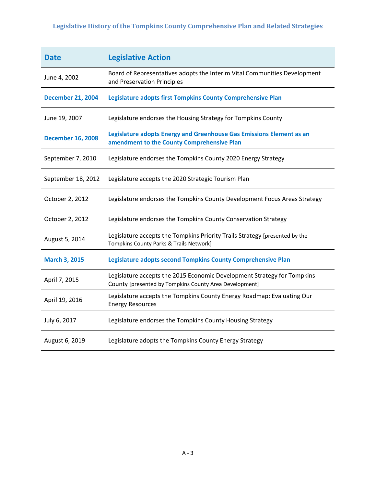# **Legislative History of the Tompkins County Comprehensive Plan and Related Strategies**

| <b>Date</b>              | <b>Legislative Action</b>                                                                                                         |
|--------------------------|-----------------------------------------------------------------------------------------------------------------------------------|
| June 4, 2002             | Board of Representatives adopts the Interim Vital Communities Development<br>and Preservation Principles                          |
| <b>December 21, 2004</b> | Legislature adopts first Tompkins County Comprehensive Plan                                                                       |
| June 19, 2007            | Legislature endorses the Housing Strategy for Tompkins County                                                                     |
| <b>December 16, 2008</b> | Legislature adopts Energy and Greenhouse Gas Emissions Element as an<br>amendment to the County Comprehensive Plan                |
| September 7, 2010        | Legislature endorses the Tompkins County 2020 Energy Strategy                                                                     |
| September 18, 2012       | Legislature accepts the 2020 Strategic Tourism Plan                                                                               |
| October 2, 2012          | Legislature endorses the Tompkins County Development Focus Areas Strategy                                                         |
| October 2, 2012          | Legislature endorses the Tompkins County Conservation Strategy                                                                    |
| August 5, 2014           | Legislature accepts the Tompkins Priority Trails Strategy [presented by the<br>Tompkins County Parks & Trails Network]            |
| <b>March 3, 2015</b>     | Legislature adopts second Tompkins County Comprehensive Plan                                                                      |
| April 7, 2015            | Legislature accepts the 2015 Economic Development Strategy for Tompkins<br>County [presented by Tompkins County Area Development] |
| April 19, 2016           | Legislature accepts the Tompkins County Energy Roadmap: Evaluating Our<br><b>Energy Resources</b>                                 |
| July 6, 2017             | Legislature endorses the Tompkins County Housing Strategy                                                                         |
| August 6, 2019           | Legislature adopts the Tompkins County Energy Strategy                                                                            |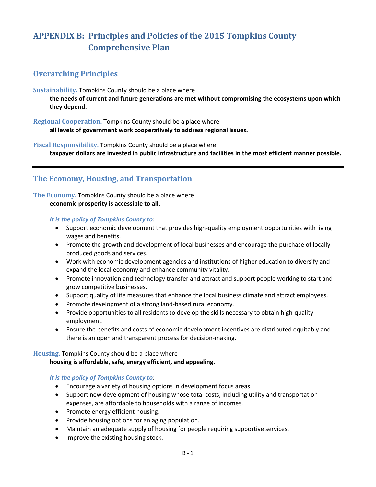# **APPENDIX B: Principles and Policies of the 2015 Tompkins County Comprehensive Plan**

# **Overarching Principles**

**Sustainability.** Tompkins County should be a place where

**the needs of current and future generations are met without compromising the ecosystems upon which they depend.**

**Regional Cooperation.** Tompkins County should be a place where **all levels of government work cooperatively to address regional issues.**

**Fiscal Responsibility.** Tompkins County should be a place where **taxpayer dollars are invested in public infrastructure and facilities in the most efficient manner possible.**

# **The Economy, Housing, and Transportation**

**The Economy.** Tompkins County should be a place where **economic prosperity is accessible to all.**

*It is the policy of Tompkins County to*:

- Support economic development that provides high-quality employment opportunities with living wages and benefits.
- Promote the growth and development of local businesses and encourage the purchase of locally produced goods and services.
- Work with economic development agencies and institutions of higher education to diversify and expand the local economy and enhance community vitality.
- Promote innovation and technology transfer and attract and support people working to start and grow competitive businesses.
- Support quality of life measures that enhance the local business climate and attract employees.
- Promote development of a strong land-based rural economy.
- Provide opportunities to all residents to develop the skills necessary to obtain high-quality employment.
- Ensure the benefits and costs of economic development incentives are distributed equitably and there is an open and transparent process for decision-making.

#### **Housing.** Tompkins County should be a place where

#### **housing is affordable, safe, energy efficient, and appealing.**

# *It is the policy of Tompkins County to*:

- Encourage a variety of housing options in development focus areas.
- Support new development of housing whose total costs, including utility and transportation expenses, are affordable to households with a range of incomes.
- Promote energy efficient housing.
- Provide housing options for an aging population.
- Maintain an adequate supply of housing for people requiring supportive services.
- Improve the existing housing stock.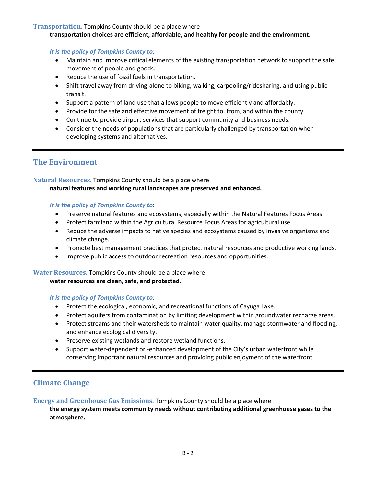#### **Transportation.** Tompkins County should be a place where

#### **transportation choices are efficient, affordable, and healthy for people and the environment.**

*It is the policy of Tompkins County to*:

- Maintain and improve critical elements of the existing transportation network to support the safe movement of people and goods.
- Reduce the use of fossil fuels in transportation.
- Shift travel away from driving-alone to biking, walking, carpooling/ridesharing, and using public transit.
- Support a pattern of land use that allows people to move efficiently and affordably.
- Provide for the safe and effective movement of freight to, from, and within the county.
- Continue to provide airport services that support community and business needs.
- Consider the needs of populations that are particularly challenged by transportation when developing systems and alternatives.

# **The Environment**

# **Natural Resources.** Tompkins County should be a place where

# **natural features and working rural landscapes are preserved and enhanced.**

#### *It is the policy of Tompkins County to*:

- Preserve natural features and ecosystems, especially within the Natural Features Focus Areas.
- Protect farmland within the Agricultural Resource Focus Areas for agricultural use.
- Reduce the adverse impacts to native species and ecosystems caused by invasive organisms and climate change.
- Promote best management practices that protect natural resources and productive working lands.
- Improve public access to outdoor recreation resources and opportunities.

# **Water Resources.** Tompkins County should be a place where

#### **water resources are clean, safe, and protected.**

#### *It is the policy of Tompkins County to*:

- Protect the ecological, economic, and recreational functions of Cayuga Lake.
- Protect aquifers from contamination by limiting development within groundwater recharge areas.
- Protect streams and their watersheds to maintain water quality, manage stormwater and flooding, and enhance ecological diversity.
- Preserve existing wetlands and restore wetland functions.
- Support water-dependent or -enhanced development of the City's urban waterfront while conserving important natural resources and providing public enjoyment of the waterfront.

# **Climate Change**

**Energy and Greenhouse Gas Emissions.** Tompkins County should be a place where

**the energy system meets community needs without contributing additional greenhouse gases to the atmosphere.**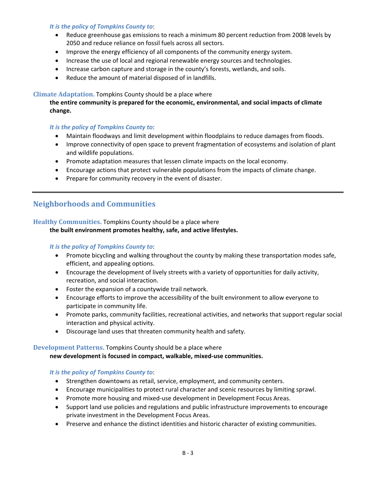#### *It is the policy of Tompkins County to*:

- Reduce greenhouse gas emissions to reach a minimum 80 percent reduction from 2008 levels by 2050 and reduce reliance on fossil fuels across all sectors.
- Improve the energy efficiency of all components of the community energy system.
- Increase the use of local and regional renewable energy sources and technologies.
- Increase carbon capture and storage in the county's forests, wetlands, and soils.
- Reduce the amount of material disposed of in landfills.

# **Climate Adaptation.** Tompkins County should be a place where

**the entire community is prepared for the economic, environmental, and social impacts of climate change.**

#### *It is the policy of Tompkins County to*:

- Maintain floodways and limit development within floodplains to reduce damages from floods.
- Improve connectivity of open space to prevent fragmentation of ecosystems and isolation of plant and wildlife populations.
- Promote adaptation measures that lessen climate impacts on the local economy.
- Encourage actions that protect vulnerable populations from the impacts of climate change.
- Prepare for community recovery in the event of disaster.

# **Neighborhoods and Communities**

# **Healthy Communities.** Tompkins County should be a place where

# **the built environment promotes healthy, safe, and active lifestyles.**

## *It is the policy of Tompkins County to*:

- Promote bicycling and walking throughout the county by making these transportation modes safe, efficient, and appealing options.
- Encourage the development of lively streets with a variety of opportunities for daily activity, recreation, and social interaction.
- Foster the expansion of a countywide trail network.
- Encourage efforts to improve the accessibility of the built environment to allow everyone to participate in community life.
- Promote parks, community facilities, recreational activities, and networks that support regular social interaction and physical activity.
- Discourage land uses that threaten community health and safety.

# **Development Patterns.** Tompkins County should be a place where

**new development is focused in compact, walkable, mixed-use communities.**

#### *It is the policy of Tompkins County to*:

- Strengthen downtowns as retail, service, employment, and community centers.
- Encourage municipalities to protect rural character and scenic resources by limiting sprawl.
- Promote more housing and mixed-use development in Development Focus Areas.
- Support land use policies and regulations and public infrastructure improvements to encourage private investment in the Development Focus Areas.
- Preserve and enhance the distinct identities and historic character of existing communities.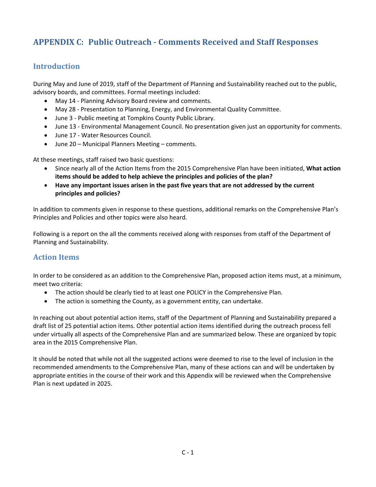# **APPENDIX C: Public Outreach - Comments Received and Staff Responses**

# **Introduction**

During May and June of 2019, staff of the Department of Planning and Sustainability reached out to the public, advisory boards, and committees. Formal meetings included:

- May 14 Planning Advisory Board review and comments.
- May 28 Presentation to Planning, Energy, and Environmental Quality Committee.
- June 3 Public meeting at Tompkins County Public Library.
- June 13 Environmental Management Council. No presentation given just an opportunity for comments.
- June 17 Water Resources Council.
- June 20 Municipal Planners Meeting comments.

At these meetings, staff raised two basic questions:

- Since nearly all of the Action Items from the 2015 Comprehensive Plan have been initiated, **What action items should be added to help achieve the principles and policies of the plan?**
- **Have any important issues arisen in the past five years that are not addressed by the current principles and policies?**

In addition to comments given in response to these questions, additional remarks on the Comprehensive Plan's Principles and Policies and other topics were also heard.

Following is a report on the all the comments received along with responses from staff of the Department of Planning and Sustainability.

# **Action Items**

In order to be considered as an addition to the Comprehensive Plan, proposed action items must, at a minimum, meet two criteria:

- The action should be clearly tied to at least one POLICY in the Comprehensive Plan.
- The action is something the County, as a government entity, can undertake.

In reaching out about potential action items, staff of the Department of Planning and Sustainability prepared a draft list of 25 potential action items. Other potential action items identified during the outreach process fell under virtually all aspects of the Comprehensive Plan and are summarized below. These are organized by topic area in the 2015 Comprehensive Plan.

It should be noted that while not all the suggested actions were deemed to rise to the level of inclusion in the recommended amendments to the Comprehensive Plan, many of these actions can and will be undertaken by appropriate entities in the course of their work and this Appendix will be reviewed when the Comprehensive Plan is next updated in 2025.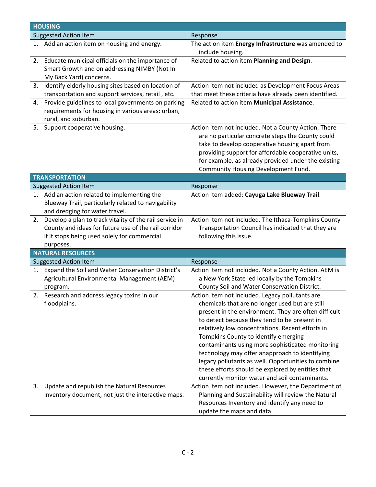|    | <b>HOUSING</b>                                                                                                                                                               |                                                                                                                                                                                                                                                                                                                                                                                                                                                                                                                                                                            |  |  |
|----|------------------------------------------------------------------------------------------------------------------------------------------------------------------------------|----------------------------------------------------------------------------------------------------------------------------------------------------------------------------------------------------------------------------------------------------------------------------------------------------------------------------------------------------------------------------------------------------------------------------------------------------------------------------------------------------------------------------------------------------------------------------|--|--|
|    | <b>Suggested Action Item</b>                                                                                                                                                 | Response                                                                                                                                                                                                                                                                                                                                                                                                                                                                                                                                                                   |  |  |
|    | 1. Add an action item on housing and energy.                                                                                                                                 | The action item Energy Infrastructure was amended to<br>include housing.                                                                                                                                                                                                                                                                                                                                                                                                                                                                                                   |  |  |
|    | 2. Educate municipal officials on the importance of<br>Smart Growth and on addressing NIMBY (Not In<br>My Back Yard) concerns.                                               | Related to action item Planning and Design.                                                                                                                                                                                                                                                                                                                                                                                                                                                                                                                                |  |  |
| 3. | Identify elderly housing sites based on location of<br>transportation and support services, retail, etc.                                                                     | Action item not included as Development Focus Areas<br>that meet these criteria have already been identified.                                                                                                                                                                                                                                                                                                                                                                                                                                                              |  |  |
| 4. | Provide guidelines to local governments on parking<br>requirements for housing in various areas: urban,<br>rural, and suburban.                                              | Related to action item Municipal Assistance.                                                                                                                                                                                                                                                                                                                                                                                                                                                                                                                               |  |  |
| 5. | Support cooperative housing.                                                                                                                                                 | Action item not included. Not a County Action. There<br>are no particular concrete steps the County could<br>take to develop cooperative housing apart from<br>providing support for affordable cooperative units,<br>for example, as already provided under the existing<br>Community Housing Development Fund.                                                                                                                                                                                                                                                           |  |  |
|    | <b>TRANSPORTATION</b>                                                                                                                                                        |                                                                                                                                                                                                                                                                                                                                                                                                                                                                                                                                                                            |  |  |
|    | <b>Suggested Action Item</b>                                                                                                                                                 | Response                                                                                                                                                                                                                                                                                                                                                                                                                                                                                                                                                                   |  |  |
|    | 1. Add an action related to implementing the<br>Blueway Trail, particularly related to navigability<br>and dredging for water travel.                                        | Action item added: Cayuga Lake Blueway Trail.                                                                                                                                                                                                                                                                                                                                                                                                                                                                                                                              |  |  |
| 2. | Develop a plan to track vitality of the rail service in<br>County and ideas for future use of the rail corridor<br>if it stops being used solely for commercial<br>purposes. | Action item not included. The Ithaca-Tompkins County<br>Transportation Council has indicated that they are<br>following this issue.                                                                                                                                                                                                                                                                                                                                                                                                                                        |  |  |
|    | <b>NATURAL RESOURCES</b>                                                                                                                                                     |                                                                                                                                                                                                                                                                                                                                                                                                                                                                                                                                                                            |  |  |
|    | <b>Suggested Action Item</b>                                                                                                                                                 | Response                                                                                                                                                                                                                                                                                                                                                                                                                                                                                                                                                                   |  |  |
| 1. | Expand the Soil and Water Conservation District's<br>Agricultural Environmental Management (AEM)<br>program.                                                                 | Action item not included. Not a County Action. AEM is<br>a New York State led locally by the Tompkins<br>County Soil and Water Conservation District.                                                                                                                                                                                                                                                                                                                                                                                                                      |  |  |
| 2. | Research and address legacy toxins in our<br>floodplains.                                                                                                                    | Action item not included. Legacy pollutants are<br>chemicals that are no longer used but are still<br>present in the environment. They are often difficult<br>to detect because they tend to be present in<br>relatively low concentrations. Recent efforts in<br>Tompkins County to identify emerging<br>contaminants using more sophisticated monitoring<br>technology may offer anapproach to identifying<br>legacy pollutants as well. Opportunities to combine<br>these efforts should be explored by entities that<br>currently monitor water and soil contaminants. |  |  |
| 3. | Update and republish the Natural Resources<br>Inventory document, not just the interactive maps.                                                                             | Action item not included. However, the Department of<br>Planning and Sustainability will review the Natural<br>Resources Inventory and identify any need to<br>update the maps and data.                                                                                                                                                                                                                                                                                                                                                                                   |  |  |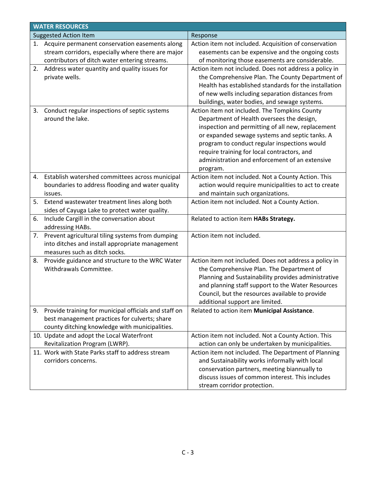| <b>WATER RESOURCES</b> |                                                                                             |                                                        |  |
|------------------------|---------------------------------------------------------------------------------------------|--------------------------------------------------------|--|
|                        | <b>Suggested Action Item</b>                                                                | Response                                               |  |
|                        | 1. Acquire permanent conservation easements along                                           | Action item not included. Acquisition of conservation  |  |
|                        | stream corridors, especially where there are major                                          | easements can be expensive and the ongoing costs       |  |
|                        | contributors of ditch water entering streams.                                               | of monitoring those easements are considerable.        |  |
|                        | 2. Address water quantity and quality issues for                                            | Action item not included. Does not address a policy in |  |
|                        | private wells.                                                                              | the Comprehensive Plan. The County Department of       |  |
|                        |                                                                                             | Health has established standards for the installation  |  |
|                        |                                                                                             | of new wells including separation distances from       |  |
|                        |                                                                                             | buildings, water bodies, and sewage systems.           |  |
| 3.                     | Conduct regular inspections of septic systems                                               | Action item not included. The Tompkins County          |  |
|                        | around the lake.                                                                            | Department of Health oversees the design,              |  |
|                        |                                                                                             | inspection and permitting of all new, replacement      |  |
|                        |                                                                                             | or expanded sewage systems and septic tanks. A         |  |
|                        |                                                                                             | program to conduct regular inspections would           |  |
|                        |                                                                                             | require training for local contractors, and            |  |
|                        |                                                                                             | administration and enforcement of an extensive         |  |
|                        |                                                                                             | program.                                               |  |
|                        | 4. Establish watershed committees across municipal                                          | Action item not included. Not a County Action. This    |  |
|                        | boundaries to address flooding and water quality                                            | action would require municipalities to act to create   |  |
|                        | issues.                                                                                     | and maintain such organizations.                       |  |
| 5.                     | Extend wastewater treatment lines along both                                                | Action item not included. Not a County Action.         |  |
| 6.                     | sides of Cayuga Lake to protect water quality.<br>Include Cargill in the conversation about | Related to action item HABs Strategy.                  |  |
|                        | addressing HABs.                                                                            |                                                        |  |
|                        | 7. Prevent agricultural tiling systems from dumping                                         | Action item not included.                              |  |
|                        | into ditches and install appropriate management                                             |                                                        |  |
|                        | measures such as ditch socks.                                                               |                                                        |  |
|                        | 8. Provide guidance and structure to the WRC Water                                          | Action item not included. Does not address a policy in |  |
|                        | Withdrawals Committee.                                                                      | the Comprehensive Plan. The Department of              |  |
|                        |                                                                                             | Planning and Sustainability provides administrative    |  |
|                        |                                                                                             | and planning staff support to the Water Resources      |  |
|                        |                                                                                             | Council, but the resources available to provide        |  |
|                        |                                                                                             | additional support are limited.                        |  |
|                        | 9. Provide training for municipal officials and staff on                                    | Related to action item Municipal Assistance.           |  |
|                        | best management practices for culverts; share                                               |                                                        |  |
|                        | county ditching knowledge with municipalities.                                              |                                                        |  |
|                        | 10. Update and adopt the Local Waterfront                                                   | Action item not included. Not a County Action. This    |  |
|                        | Revitalization Program (LWRP).                                                              | action can only be undertaken by municipalities.       |  |
|                        | 11. Work with State Parks staff to address stream                                           | Action item not included. The Department of Planning   |  |
|                        | corridors concerns.                                                                         | and Sustainability works informally with local         |  |
|                        |                                                                                             | conservation partners, meeting biannually to           |  |
|                        |                                                                                             | discuss issues of common interest. This includes       |  |
|                        |                                                                                             | stream corridor protection.                            |  |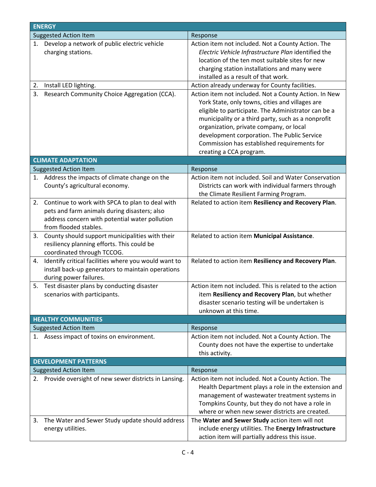| <b>ENERGY</b>               |                                                                                                                                                                            |                                                                                                                                                                                                                                                                                                                                                                                           |  |
|-----------------------------|----------------------------------------------------------------------------------------------------------------------------------------------------------------------------|-------------------------------------------------------------------------------------------------------------------------------------------------------------------------------------------------------------------------------------------------------------------------------------------------------------------------------------------------------------------------------------------|--|
|                             | <b>Suggested Action Item</b>                                                                                                                                               | Response                                                                                                                                                                                                                                                                                                                                                                                  |  |
|                             | 1. Develop a network of public electric vehicle<br>charging stations.                                                                                                      | Action item not included. Not a County Action. The<br>Electric Vehicle Infrastructure Plan identified the<br>location of the ten most suitable sites for new<br>charging station installations and many were<br>installed as a result of that work.                                                                                                                                       |  |
| 2.                          | Install LED lighting.                                                                                                                                                      | Action already underway for County facilities.                                                                                                                                                                                                                                                                                                                                            |  |
| 3.                          | Research Community Choice Aggregation (CCA).                                                                                                                               | Action item not included. Not a County Action. In New<br>York State, only towns, cities and villages are<br>eligible to participate. The Administrator can be a<br>municipality or a third party, such as a nonprofit<br>organization, private company, or local<br>development corporation. The Public Service<br>Commission has established requirements for<br>creating a CCA program. |  |
|                             | <b>CLIMATE ADAPTATION</b>                                                                                                                                                  |                                                                                                                                                                                                                                                                                                                                                                                           |  |
|                             | <b>Suggested Action Item</b>                                                                                                                                               | Response                                                                                                                                                                                                                                                                                                                                                                                  |  |
| 1.                          | Address the impacts of climate change on the<br>County's agricultural economy.                                                                                             | Action item not included. Soil and Water Conservation<br>Districts can work with individual farmers through<br>the Climate Resilient Farming Program.                                                                                                                                                                                                                                     |  |
| 2.                          | Continue to work with SPCA to plan to deal with<br>pets and farm animals during disasters; also<br>address concern with potential water pollution<br>from flooded stables. | Related to action item Resiliency and Recovery Plan.                                                                                                                                                                                                                                                                                                                                      |  |
| 3.                          | County should support municipalities with their<br>resiliency planning efforts. This could be<br>coordinated through TCCOG.                                                | Related to action item Municipal Assistance.                                                                                                                                                                                                                                                                                                                                              |  |
| 4.                          | Identify critical facilities where you would want to<br>install back-up generators to maintain operations<br>during power failures.                                        | Related to action item Resiliency and Recovery Plan.                                                                                                                                                                                                                                                                                                                                      |  |
| 5.                          | Test disaster plans by conducting disaster<br>scenarios with participants.                                                                                                 | Action item not included. This is related to the action<br>item Resiliency and Recovery Plan, but whether<br>disaster scenario testing will be undertaken is<br>unknown at this time.                                                                                                                                                                                                     |  |
|                             | <b>HEALTHY COMMUNITIES</b>                                                                                                                                                 |                                                                                                                                                                                                                                                                                                                                                                                           |  |
|                             | <b>Suggested Action Item</b>                                                                                                                                               | Response                                                                                                                                                                                                                                                                                                                                                                                  |  |
| 1.                          | Assess impact of toxins on environment.                                                                                                                                    | Action item not included. Not a County Action. The<br>County does not have the expertise to undertake<br>this activity.                                                                                                                                                                                                                                                                   |  |
| <b>DEVELOPMENT PATTERNS</b> |                                                                                                                                                                            |                                                                                                                                                                                                                                                                                                                                                                                           |  |
|                             | <b>Suggested Action Item</b>                                                                                                                                               | Response                                                                                                                                                                                                                                                                                                                                                                                  |  |
|                             | 2. Provide oversight of new sewer districts in Lansing.                                                                                                                    | Action item not included. Not a County Action. The<br>Health Department plays a role in the extension and<br>management of wastewater treatment systems in<br>Tompkins County, but they do not have a role in<br>where or when new sewer districts are created.                                                                                                                           |  |
| 3.                          | The Water and Sewer Study update should address                                                                                                                            | The Water and Sewer Study action item will not                                                                                                                                                                                                                                                                                                                                            |  |
|                             | energy utilities.                                                                                                                                                          | include energy utilities. The Energy Infrastructure<br>action item will partially address this issue.                                                                                                                                                                                                                                                                                     |  |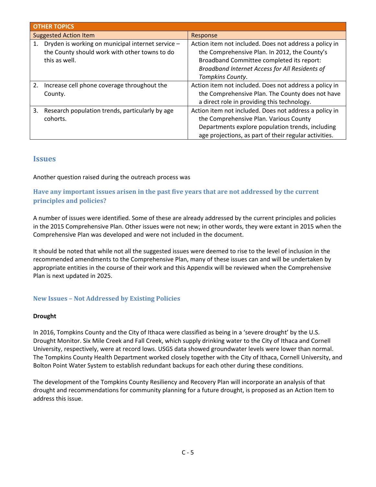| <b>OTHER TOPICS</b>                                                                                                       |                                                                                                                                                                                                                            |  |
|---------------------------------------------------------------------------------------------------------------------------|----------------------------------------------------------------------------------------------------------------------------------------------------------------------------------------------------------------------------|--|
| <b>Suggested Action Item</b>                                                                                              | Response                                                                                                                                                                                                                   |  |
| Dryden is working on municipal internet service -<br>1.<br>the County should work with other towns to do<br>this as well. | Action item not included. Does not address a policy in<br>the Comprehensive Plan. In 2012, the County's<br>Broadband Committee completed its report:<br>Broadband Internet Access for All Residents of<br>Tompkins County. |  |
| Increase cell phone coverage throughout the<br>2.<br>County.                                                              | Action item not included. Does not address a policy in<br>the Comprehensive Plan. The County does not have<br>a direct role in providing this technology.                                                                  |  |
| 3.<br>Research population trends, particularly by age<br>cohorts.                                                         | Action item not included. Does not address a policy in<br>the Comprehensive Plan. Various County<br>Departments explore population trends, including<br>age projections, as part of their regular activities.              |  |

# **Issues**

# Another question raised during the outreach process was

# **Have any important issues arisen in the past five years that are not addressed by the current principles and policies?**

A number of issues were identified. Some of these are already addressed by the current principles and policies in the 2015 Comprehensive Plan. Other issues were not new; in other words, they were extant in 2015 when the Comprehensive Plan was developed and were not included in the document.

It should be noted that while not all the suggested issues were deemed to rise to the level of inclusion in the recommended amendments to the Comprehensive Plan, many of these issues can and will be undertaken by appropriate entities in the course of their work and this Appendix will be reviewed when the Comprehensive Plan is next updated in 2025.

# **New Issues – Not Addressed by Existing Policies**

#### **Drought**

In 2016, Tompkins County and the City of Ithaca were classified as being in a 'severe drought' by the U.S. Drought Monitor. Six Mile Creek and Fall Creek, which supply drinking water to the City of Ithaca and Cornell University, respectively, were at record lows. USGS data showed groundwater levels were lower than normal. The Tompkins County Health Department worked closely together with the City of Ithaca, Cornell University, and Bolton Point Water System to establish redundant backups for each other during these conditions.

The development of the Tompkins County Resiliency and Recovery Plan will incorporate an analysis of that drought and recommendations for community planning for a future drought, is proposed as an Action Item to address this issue.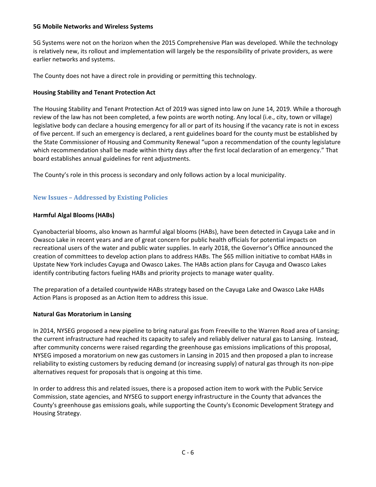#### **5G Mobile Networks and Wireless Systems**

5G Systems were not on the horizon when the 2015 Comprehensive Plan was developed. While the technology is relatively new, its rollout and implementation will largely be the responsibility of private providers, as were earlier networks and systems.

The County does not have a direct role in providing or permitting this technology.

## **Housing Stability and Tenant Protection Act**

The Housing Stability and Tenant Protection Act of 2019 was signed into law on June 14, 2019. While a thorough review of the law has not been completed, a few points are worth noting. Any local (i.e., city, town or village) legislative body can declare a housing emergency for all or part of its housing if the vacancy rate is not in excess of five percent. If such an emergency is declared, a rent guidelines board for the county must be established by the State Commissioner of Housing and Community Renewal "upon a recommendation of the county legislature which recommendation shall be made within thirty days after the first local declaration of an emergency." That board establishes annual guidelines for rent adjustments.

The County's role in this process is secondary and only follows action by a local municipality.

# **New Issues – Addressed by Existing Policies**

# **Harmful Algal Blooms (HABs)**

Cyanobacterial blooms, also known as harmful algal blooms (HABs), have been detected in Cayuga Lake and in Owasco Lake in recent years and are of great concern for public health officials for potential impacts on recreational users of the water and public water supplies. In early 2018, the Governor's Office announced the creation of committees to develop action plans to address HABs. The \$65 million initiative to combat HABs in Upstate New York includes Cayuga and Owasco Lakes. The HABs action plans for Cayuga and Owasco Lakes identify contributing factors fueling HABs and priority projects to manage water quality.

The preparation of a detailed countywide HABs strategy based on the Cayuga Lake and Owasco Lake HABs Action Plans is proposed as an Action Item to address this issue.

#### **Natural Gas Moratorium in Lansing**

In 2014, NYSEG proposed a new pipeline to bring natural gas from Freeville to the Warren Road area of Lansing; the current infrastructure had reached its capacity to safely and reliably deliver natural gas to Lansing. Instead, after community concerns were raised regarding the greenhouse gas emissions implications of this proposal, NYSEG imposed a moratorium on new gas customers in Lansing in 2015 and then proposed a plan to increase reliability to existing customers by reducing demand (or increasing supply) of natural gas through its non-pipe alternatives request for proposals that is ongoing at this time.

In order to address this and related issues, there is a proposed action item to work with the Public Service Commission, state agencies, and NYSEG to support energy infrastructure in the County that advances the County's greenhouse gas emissions goals, while supporting the County's Economic Development Strategy and Housing Strategy.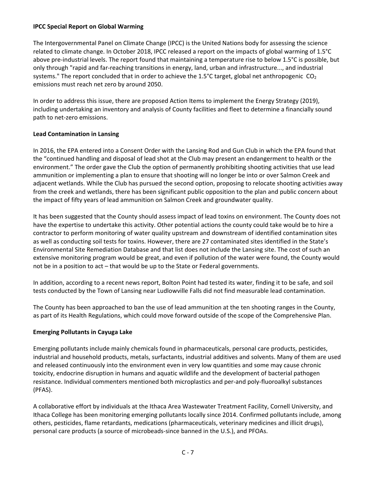#### **IPCC Special Report on Global Warming**

The Intergovernmental Panel on Climate Change (IPCC) is the United Nations body for assessing the science related to climate change. In October 2018, IPCC released a report on the impacts of global warming of 1.5°C above pre-industrial levels. The report found that maintaining a temperature rise to below 1.5°C is possible, but only through "rapid and far-reaching transitions in energy, land, urban and infrastructure..., and industrial systems." The report concluded that in order to achieve the 1.5°C target, global net anthropogenic  $CO<sub>2</sub>$ emissions must reach net zero by around 2050.

In order to address this issue, there are proposed Action Items to implement the Energy Strategy (2019), including undertaking an inventory and analysis of County facilities and fleet to determine a financially sound path to net-zero emissions.

# **Lead Contamination in Lansing**

In 2016, the EPA entered into a Consent Order with the Lansing Rod and Gun Club in which the EPA found that the "continued handling and disposal of lead shot at the Club may present an endangerment to health or the environment." The order gave the Club the option of permanently prohibiting shooting activities that use lead ammunition or implementing a plan to ensure that shooting will no longer be into or over Salmon Creek and adjacent wetlands. While the Club has pursued the second option, proposing to relocate shooting activities away from the creek and wetlands, there has been significant public opposition to the plan and public concern about the impact of fifty years of lead ammunition on Salmon Creek and groundwater quality.

It has been suggested that the County should assess impact of lead toxins on environment. The County does not have the expertise to undertake this activity. Other potential actions the county could take would be to hire a contractor to perform monitoring of water quality upstream and downstream of identified contamination sites as well as conducting soil tests for toxins. However, there are 27 contaminated sites identified in the State's Environmental Site Remediation Database and that list does not include the Lansing site. The cost of such an extensive monitoring program would be great, and even if pollution of the water were found, the County would not be in a position to act – that would be up to the State or Federal governments.

In addition, according to a recent news report, Bolton Point had tested its water, finding it to be safe, and soil tests conducted by the Town of Lansing near Ludlowville Falls did not find measurable lead contamination.

The County has been approached to ban the use of lead ammunition at the ten shooting ranges in the County, as part of its Health Regulations, which could move forward outside of the scope of the Comprehensive Plan.

# **Emerging Pollutants in Cayuga Lake**

Emerging pollutants include mainly chemicals found in pharmaceuticals, personal care products, pesticides, industrial and household products, metals, surfactants, industrial additives and solvents. Many of them are used and released continuously into the environment even in very low quantities and some may cause chronic toxicity, endocrine disruption in humans and aquatic wildlife and the development of bacterial pathogen resistance. Individual commenters mentioned both microplastics and per-and poly-fluoroalkyl substances (PFAS).

A collaborative effort by individuals at the Ithaca Area Wastewater Treatment Facility, Cornell University, and Ithaca College has been monitoring emerging pollutants locally since 2014. Confirmed pollutants include, among others, pesticides, flame retardants, medications (pharmaceuticals, veterinary medicines and illicit drugs), personal care products (a source of microbeads-since banned in the U.S.), and PFOAs.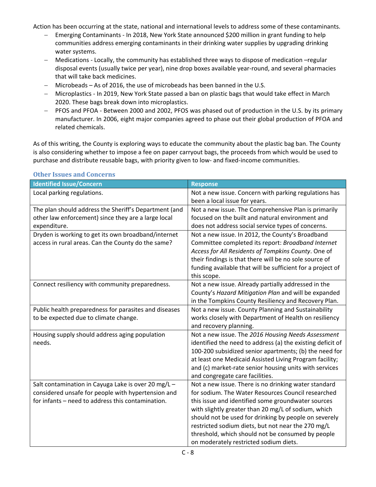Action has been occurring at the state, national and international levels to address some of these contaminants.

- − Emerging Contaminants In 2018, New York State announced \$200 million in grant funding to help communities address emerging contaminants in their drinking water supplies by upgrading drinking water systems.
- − Medications Locally, the community has established three ways to dispose of medication –regular disposal events (usually twice per year), nine drop boxes available year-round, and several pharmacies that will take back medicines.
- − Microbeads As of 2016, the use of microbeads has been banned in the U.S.
- − Microplastics In 2019, New York State passed a ban on plastic bags that would take effect in March 2020. These bags break down into microplastics.
- − PFOS and PFOA Between 2000 and 2002, PFOS was phased out of production in the U.S. by its primary manufacturer. In 2006, eight major companies agreed to phase out their global production of PFOA and related chemicals.

As of this writing, the County is exploring ways to educate the community about the plastic bag ban. The County is also considering whether to impose a fee on paper carryout bags, the proceeds from which would be used to purchase and distribute reusable bags, with priority given to low- and fixed-income communities.

| <b>Identified Issue/Concern</b>                       | <b>Response</b>                                            |
|-------------------------------------------------------|------------------------------------------------------------|
| Local parking regulations.                            | Not a new issue. Concern with parking regulations has      |
|                                                       | been a local issue for years.                              |
| The plan should address the Sheriff's Department (and | Not a new issue. The Comprehensive Plan is primarily       |
| other law enforcement) since they are a large local   | focused on the built and natural environment and           |
| expenditure.                                          | does not address social service types of concerns.         |
| Dryden is working to get its own broadband/internet   | Not a new issue. In 2012, the County's Broadband           |
| access in rural areas. Can the County do the same?    | Committee completed its report: Broadband Internet         |
|                                                       | Access for All Residents of Tompkins County. One of        |
|                                                       | their findings is that there will be no sole source of     |
|                                                       | funding available that will be sufficient for a project of |
|                                                       | this scope.                                                |
| Connect resiliency with community preparedness.       | Not a new issue. Already partially addressed in the        |
|                                                       | County's Hazard Mitigation Plan and will be expanded       |
|                                                       | in the Tompkins County Resiliency and Recovery Plan.       |
| Public health preparedness for parasites and diseases | Not a new issue. County Planning and Sustainability        |
| to be expected due to climate change.                 | works closely with Department of Health on resiliency      |
|                                                       | and recovery planning.                                     |
| Housing supply should address aging population        | Not a new issue. The 2016 Housing Needs Assessment         |
| needs.                                                | identified the need to address (a) the existing deficit of |
|                                                       | 100-200 subsidized senior apartments; (b) the need for     |
|                                                       | at least one Medicaid Assisted Living Program facility;    |
|                                                       | and (c) market-rate senior housing units with services     |
|                                                       | and congregate care facilities.                            |
| Salt contamination in Cayuga Lake is over 20 mg/L -   | Not a new issue. There is no drinking water standard       |
| considered unsafe for people with hypertension and    | for sodium. The Water Resources Council researched         |
| for infants - need to address this contamination.     | this issue and identified some groundwater sources         |
|                                                       | with slightly greater than 20 mg/L of sodium, which        |
|                                                       | should not be used for drinking by people on severely      |
|                                                       | restricted sodium diets, but not near the 270 mg/L         |
|                                                       | threshold, which should not be consumed by people          |
|                                                       | on moderately restricted sodium diets.                     |

#### **Other Issues and Concerns**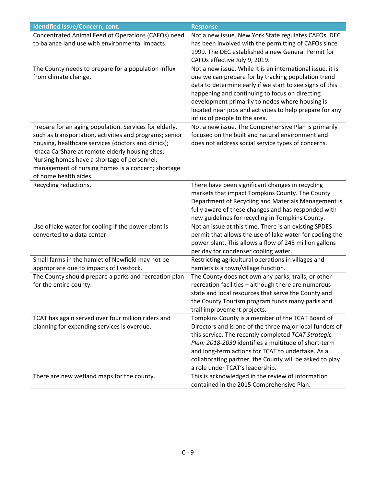| Identified Issue/Concern, cont.                         | <b>Response</b>                                                                                |
|---------------------------------------------------------|------------------------------------------------------------------------------------------------|
| Concentrated Animal Feedlot Operations (CAFOs) need     | Not a new issue. New York State regulates CAFOs. DEC                                           |
| to balance land use with environmental impacts.         | has been involved with the permitting of CAFOs since                                           |
|                                                         | 1999. The DEC established a new General Permit for                                             |
|                                                         | CAFOs effective July 9, 2019.                                                                  |
| The County needs to prepare for a population influx     | Not a new issue. While it is an international issue, it is                                     |
| from climate change.                                    | one we can prepare for by tracking population trend                                            |
|                                                         | data to determine early if we start to see signs of this                                       |
|                                                         | happening and continuing to focus on directing                                                 |
|                                                         | development primarily to nodes where housing is                                                |
|                                                         | located near jobs and activities to help prepare for any                                       |
|                                                         | influx of people to the area.                                                                  |
| Prepare for an aging population. Services for elderly,  | Not a new issue. The Comprehensive Plan is primarily                                           |
| such as transportation, activities and programs; senior | focused on the built and natural environment and                                               |
| housing, healthcare services (doctors and clinics);     | does not address social service types of concerns.                                             |
| Ithaca CarShare at remote elderly housing sites;        |                                                                                                |
| Nursing homes have a shortage of personnel;             |                                                                                                |
| management of nursing homes is a concern; shortage      |                                                                                                |
| of home health aides.                                   |                                                                                                |
| Recycling reductions.                                   | There have been significant changes in recycling                                               |
|                                                         | markets that impact Tompkins County. The County                                                |
|                                                         | Department of Recycling and Materials Management is                                            |
|                                                         | fully aware of these changes and has responded with                                            |
|                                                         | new guidelines for recycling in Tompkins County.                                               |
| Use of lake water for cooling if the power plant is     | Not an issue at this time. There is an existing SPDES                                          |
| converted to a data center.                             | permit that allows the use of lake water for cooling the                                       |
|                                                         | power plant. This allows a flow of 245 million gallons<br>per day for condenser cooling water. |
| Small farms in the hamlet of Newfield may not be        | Restricting agricultural operations in villages and                                            |
| appropriate due to impacts of livestock.                | hamlets is a town/village function.                                                            |
| The County should prepare a parks and recreation plan   | The County does not own any parks, trails, or other                                            |
| for the entire county.                                  | recreation facilities - although there are numerous                                            |
|                                                         | state and local resources that serve the County and                                            |
|                                                         | the County Tourism program funds many parks and                                                |
|                                                         | trail improvement projects.                                                                    |
| TCAT has again served over four million riders and      | Tompkins County is a member of the TCAT Board of                                               |
| planning for expanding services is overdue.             | Directors and is one of the three major local funders of                                       |
|                                                         | this service. The recently completed TCAT Strategic                                            |
|                                                         | Plan: 2018-2030 identifies a multitude of short-term                                           |
|                                                         | and long-term actions for TCAT to undertake. As a                                              |
|                                                         | collaborating partner, the County will be asked to play                                        |
|                                                         | a role under TCAT's leadership.                                                                |
| There are new wetland maps for the county.              | This is acknowledged in the review of information                                              |
|                                                         | contained in the 2015 Comprehensive Plan.                                                      |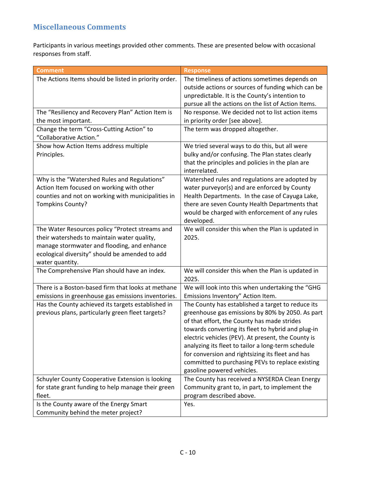# **Miscellaneous Comments**

Participants in various meetings provided other comments. These are presented below with occasional responses from staff.

| <b>Comment</b>                                                                                                                                                                                                     | <b>Response</b>                                                                                                                                                                                                                                                                                                                                                                                                                                              |
|--------------------------------------------------------------------------------------------------------------------------------------------------------------------------------------------------------------------|--------------------------------------------------------------------------------------------------------------------------------------------------------------------------------------------------------------------------------------------------------------------------------------------------------------------------------------------------------------------------------------------------------------------------------------------------------------|
| The Actions Items should be listed in priority order.                                                                                                                                                              | The timeliness of actions sometimes depends on<br>outside actions or sources of funding which can be<br>unpredictable. It is the County's intention to<br>pursue all the actions on the list of Action Items.                                                                                                                                                                                                                                                |
| The "Resiliency and Recovery Plan" Action Item is<br>the most important.                                                                                                                                           | No response. We decided not to list action items<br>in priority order [see above].                                                                                                                                                                                                                                                                                                                                                                           |
| Change the term "Cross-Cutting Action" to<br>"Collaborative Action."                                                                                                                                               | The term was dropped altogether.                                                                                                                                                                                                                                                                                                                                                                                                                             |
| Show how Action Items address multiple<br>Principles.                                                                                                                                                              | We tried several ways to do this, but all were<br>bulky and/or confusing. The Plan states clearly<br>that the principles and policies in the plan are<br>interrelated.                                                                                                                                                                                                                                                                                       |
| Why is the "Watershed Rules and Regulations"<br>Action Item focused on working with other<br>counties and not on working with municipalities in<br><b>Tompkins County?</b>                                         | Watershed rules and regulations are adopted by<br>water purveyor(s) and are enforced by County<br>Health Departments. In the case of Cayuga Lake,<br>there are seven County Health Departments that<br>would be charged with enforcement of any rules<br>developed.                                                                                                                                                                                          |
| The Water Resources policy "Protect streams and<br>their watersheds to maintain water quality,<br>manage stormwater and flooding, and enhance<br>ecological diversity" should be amended to add<br>water quantity. | We will consider this when the Plan is updated in<br>2025.                                                                                                                                                                                                                                                                                                                                                                                                   |
| The Comprehensive Plan should have an index.                                                                                                                                                                       | We will consider this when the Plan is updated in<br>2025.                                                                                                                                                                                                                                                                                                                                                                                                   |
| There is a Boston-based firm that looks at methane<br>emissions in greenhouse gas emissions inventories.                                                                                                           | We will look into this when undertaking the "GHG<br>Emissions Inventory" Action Item.                                                                                                                                                                                                                                                                                                                                                                        |
| Has the County achieved its targets established in<br>previous plans, particularly green fleet targets?                                                                                                            | The County has established a target to reduce its<br>greenhouse gas emissions by 80% by 2050. As part<br>of that effort, the County has made strides<br>towards converting its fleet to hybrid and plug-in<br>electric vehicles (PEV). At present, the County is<br>analyzing its fleet to tailor a long-term schedule<br>for conversion and rightsizing its fleet and has<br>committed to purchasing PEVs to replace existing<br>gasoline powered vehicles. |
| Schuyler County Cooperative Extension is looking<br>for state grant funding to help manage their green<br>fleet.                                                                                                   | The County has received a NYSERDA Clean Energy<br>Community grant to, in part, to implement the<br>program described above.                                                                                                                                                                                                                                                                                                                                  |
| Is the County aware of the Energy Smart<br>Community behind the meter project?                                                                                                                                     | Yes.                                                                                                                                                                                                                                                                                                                                                                                                                                                         |